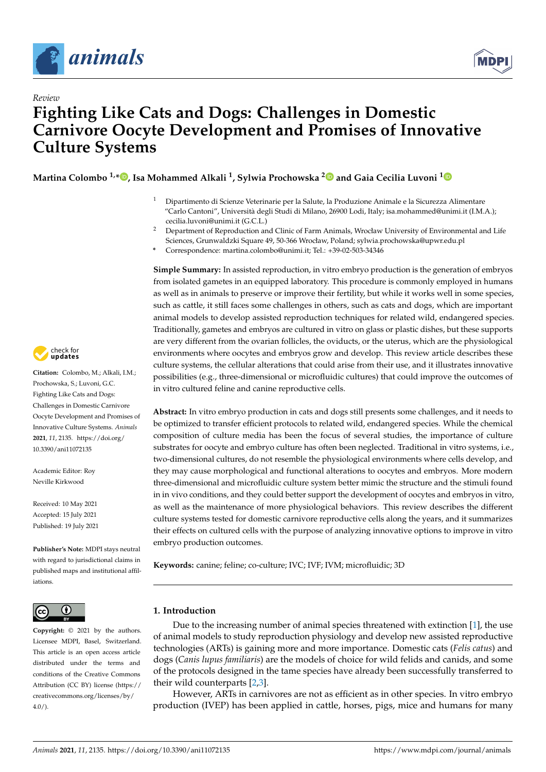

*Review*



# **Fighting Like Cats and Dogs: Challenges in Domestic Carnivore Oocyte Development and Promises of Innovative Culture Systems**

**Martina Colombo 1,\* [,](https://orcid.org/0000-0003-1436-1985) Isa Mohammed Alkali <sup>1</sup> , Sylwia Prochowska [2](https://orcid.org/0000-0002-5708-8141) and Gaia Cecilia Luvoni [1](https://orcid.org/0000-0002-9598-9098)**

- <sup>1</sup> Dipartimento di Scienze Veterinarie per la Salute, la Produzione Animale e la Sicurezza Alimentare "Carlo Cantoni", Università degli Studi di Milano, 26900 Lodi, Italy; isa.mohammed@unimi.it (I.M.A.); cecilia.luvoni@unimi.it (G.C.L.)
- <sup>2</sup> Department of Reproduction and Clinic of Farm Animals, Wrocław University of Environmental and Life Sciences, Grunwaldzki Square 49, 50-366 Wrocław, Poland; sylwia.prochowska@upwr.edu.pl
- **\*** Correspondence: martina.colombo@unimi.it; Tel.: +39-02-503-34346

**Simple Summary:** In assisted reproduction, in vitro embryo production is the generation of embryos from isolated gametes in an equipped laboratory. This procedure is commonly employed in humans as well as in animals to preserve or improve their fertility, but while it works well in some species, such as cattle, it still faces some challenges in others, such as cats and dogs, which are important animal models to develop assisted reproduction techniques for related wild, endangered species. Traditionally, gametes and embryos are cultured in vitro on glass or plastic dishes, but these supports are very different from the ovarian follicles, the oviducts, or the uterus, which are the physiological environments where oocytes and embryos grow and develop. This review article describes these culture systems, the cellular alterations that could arise from their use, and it illustrates innovative possibilities (e.g., three-dimensional or microfluidic cultures) that could improve the outcomes of in vitro cultured feline and canine reproductive cells.

**Abstract:** In vitro embryo production in cats and dogs still presents some challenges, and it needs to be optimized to transfer efficient protocols to related wild, endangered species. While the chemical composition of culture media has been the focus of several studies, the importance of culture substrates for oocyte and embryo culture has often been neglected. Traditional in vitro systems, i.e., two-dimensional cultures, do not resemble the physiological environments where cells develop, and they may cause morphological and functional alterations to oocytes and embryos. More modern three-dimensional and microfluidic culture system better mimic the structure and the stimuli found in in vivo conditions, and they could better support the development of oocytes and embryos in vitro, as well as the maintenance of more physiological behaviors. This review describes the different culture systems tested for domestic carnivore reproductive cells along the years, and it summarizes their effects on cultured cells with the purpose of analyzing innovative options to improve in vitro embryo production outcomes.

**Keywords:** canine; feline; co-culture; IVC; IVF; IVM; microfluidic; 3D

#### $\bf{G}$  $|$  (cc)

**Copyright:** © 2021 by the authors. Licensee MDPI, Basel, Switzerland. This article is an open access article distributed under the terms and conditions of the Creative Commons Attribution (CC BY) license (https:/[/](https://creativecommons.org/licenses/by/4.0/) [creativecommons.org/licenses/by/](https://creativecommons.org/licenses/by/4.0/)  $4.0/$ ).

## **1. Introduction**

Due to the increasing number of animal species threatened with extinction [\[1\]](#page-11-0), the use of animal models to study reproduction physiology and develop new assisted reproductive technologies (ARTs) is gaining more and more importance. Domestic cats (*Felis catus*) and dogs (*Canis lupus familiaris*) are the models of choice for wild felids and canids, and some of the protocols designed in the tame species have already been successfully transferred to their wild counterparts [\[2](#page-11-1)[,3\]](#page-11-2).

However, ARTs in carnivores are not as efficient as in other species. In vitro embryo production (IVEP) has been applied in cattle, horses, pigs, mice and humans for many



**Citation:** Colombo, M.; Alkali, I.M.; Prochowska, S.; Luvoni, G.C. Fighting Like Cats and Dogs: Challenges in Domestic Carnivore Oocyte Development and Promises of Innovative Culture Systems. *Animals* **2021**, *11*, 2135. [https://doi.org/](https://doi.org/10.3390/ani11072135) [10.3390/ani11072135](https://doi.org/10.3390/ani11072135)

Academic Editor: Roy Neville Kirkwood

Received: 10 May 2021 Accepted: 15 July 2021 Published: 19 July 2021

**Publisher's Note:** MDPI stays neutral with regard to jurisdictional claims in published maps and institutional affiliations.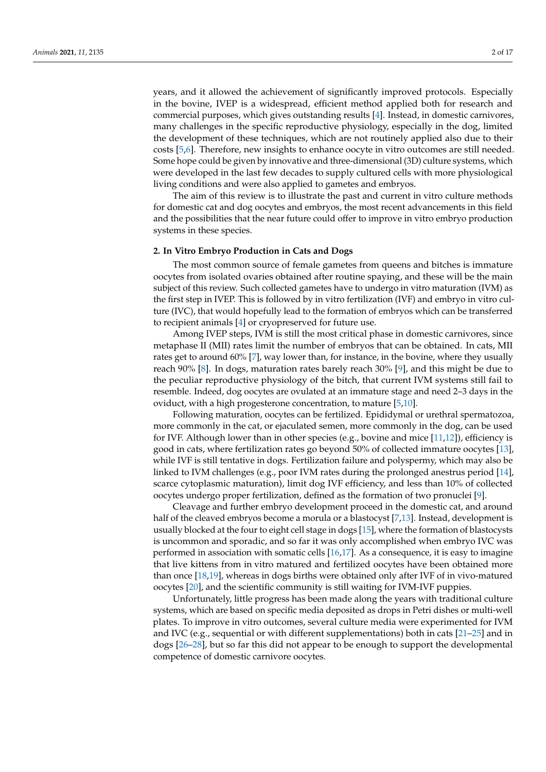years, and it allowed the achievement of significantly improved protocols. Especially in the bovine, IVEP is a widespread, efficient method applied both for research and commercial purposes, which gives outstanding results [\[4\]](#page-11-3). Instead, in domestic carnivores, many challenges in the specific reproductive physiology, especially in the dog, limited the development of these techniques, which are not routinely applied also due to their costs [\[5](#page-11-4)[,6\]](#page-11-5). Therefore, new insights to enhance oocyte in vitro outcomes are still needed. Some hope could be given by innovative and three-dimensional (3D) culture systems, which were developed in the last few decades to supply cultured cells with more physiological living conditions and were also applied to gametes and embryos.

The aim of this review is to illustrate the past and current in vitro culture methods for domestic cat and dog oocytes and embryos, the most recent advancements in this field and the possibilities that the near future could offer to improve in vitro embryo production systems in these species.

#### **2. In Vitro Embryo Production in Cats and Dogs**

The most common source of female gametes from queens and bitches is immature oocytes from isolated ovaries obtained after routine spaying, and these will be the main subject of this review. Such collected gametes have to undergo in vitro maturation (IVM) as the first step in IVEP. This is followed by in vitro fertilization (IVF) and embryo in vitro culture (IVC), that would hopefully lead to the formation of embryos which can be transferred to recipient animals [\[4\]](#page-11-3) or cryopreserved for future use.

Among IVEP steps, IVM is still the most critical phase in domestic carnivores, since metaphase II (MII) rates limit the number of embryos that can be obtained. In cats, MII rates get to around 60% [\[7\]](#page-11-6), way lower than, for instance, in the bovine, where they usually reach 90% [\[8\]](#page-11-7). In dogs, maturation rates barely reach 30% [\[9\]](#page-11-8), and this might be due to the peculiar reproductive physiology of the bitch, that current IVM systems still fail to resemble. Indeed, dog oocytes are ovulated at an immature stage and need 2–3 days in the oviduct, with a high progesterone concentration, to mature [\[5](#page-11-4)[,10\]](#page-11-9).

Following maturation, oocytes can be fertilized. Epididymal or urethral spermatozoa, more commonly in the cat, or ejaculated semen, more commonly in the dog, can be used for IVF. Although lower than in other species (e.g., bovine and mice [\[11,](#page-11-10)[12\]](#page-11-11)), efficiency is good in cats, where fertilization rates go beyond 50% of collected immature oocytes [\[13\]](#page-11-12), while IVF is still tentative in dogs. Fertilization failure and polyspermy, which may also be linked to IVM challenges (e.g., poor IVM rates during the prolonged anestrus period [\[14\]](#page-11-13), scarce cytoplasmic maturation), limit dog IVF efficiency, and less than 10% of collected oocytes undergo proper fertilization, defined as the formation of two pronuclei [\[9\]](#page-11-8).

Cleavage and further embryo development proceed in the domestic cat, and around half of the cleaved embryos become a morula or a blastocyst [\[7](#page-11-6)[,13\]](#page-11-12). Instead, development is usually blocked at the four to eight cell stage in dogs [\[15\]](#page-11-14), where the formation of blastocysts is uncommon and sporadic, and so far it was only accomplished when embryo IVC was performed in association with somatic cells [\[16,](#page-11-15)[17\]](#page-11-16). As a consequence, it is easy to imagine that live kittens from in vitro matured and fertilized oocytes have been obtained more than once [\[18,](#page-11-17)[19\]](#page-11-18), whereas in dogs births were obtained only after IVF of in vivo-matured oocytes [\[20\]](#page-11-19), and the scientific community is still waiting for IVM-IVF puppies.

Unfortunately, little progress has been made along the years with traditional culture systems, which are based on specific media deposited as drops in Petri dishes or multi-well plates. To improve in vitro outcomes, several culture media were experimented for IVM and IVC (e.g., sequential or with different supplementations) both in cats [\[21–](#page-11-20)[25\]](#page-11-21) and in dogs [\[26](#page-11-22)[–28\]](#page-12-0), but so far this did not appear to be enough to support the developmental competence of domestic carnivore oocytes.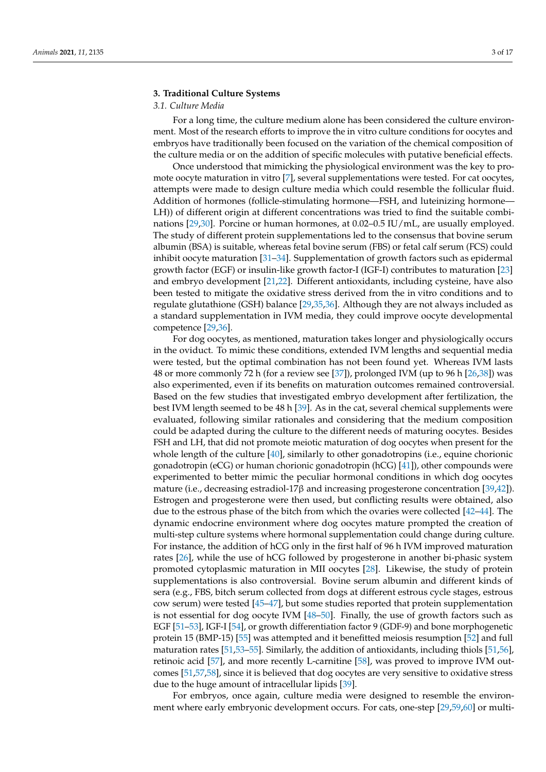#### **3. Traditional Culture Systems**

#### *3.1. Culture Media*

For a long time, the culture medium alone has been considered the culture environment. Most of the research efforts to improve the in vitro culture conditions for oocytes and embryos have traditionally been focused on the variation of the chemical composition of the culture media or on the addition of specific molecules with putative beneficial effects.

Once understood that mimicking the physiological environment was the key to promote oocyte maturation in vitro [\[7\]](#page-11-6), several supplementations were tested. For cat oocytes, attempts were made to design culture media which could resemble the follicular fluid. Addition of hormones (follicle-stimulating hormone—FSH, and luteinizing hormone— LH)) of different origin at different concentrations was tried to find the suitable combinations [\[29](#page-12-1)[,30\]](#page-12-2). Porcine or human hormones, at 0.02–0.5 IU/mL, are usually employed. The study of different protein supplementations led to the consensus that bovine serum albumin (BSA) is suitable, whereas fetal bovine serum (FBS) or fetal calf serum (FCS) could inhibit oocyte maturation [\[31–](#page-12-3)[34\]](#page-12-4). Supplementation of growth factors such as epidermal growth factor (EGF) or insulin-like growth factor-I (IGF-I) contributes to maturation [\[23\]](#page-11-23) and embryo development [\[21](#page-11-20)[,22\]](#page-11-24). Different antioxidants, including cysteine, have also been tested to mitigate the oxidative stress derived from the in vitro conditions and to regulate glutathione (GSH) balance [\[29](#page-12-1)[,35,](#page-12-5)[36\]](#page-12-6). Although they are not always included as a standard supplementation in IVM media, they could improve oocyte developmental competence [\[29](#page-12-1)[,36\]](#page-12-6).

For dog oocytes, as mentioned, maturation takes longer and physiologically occurs in the oviduct. To mimic these conditions, extended IVM lengths and sequential media were tested, but the optimal combination has not been found yet. Whereas IVM lasts 48 or more commonly 72 h (for a review see [\[37\]](#page-12-7)), prolonged IVM (up to 96 h [\[26,](#page-11-22)[38\]](#page-12-8)) was also experimented, even if its benefits on maturation outcomes remained controversial. Based on the few studies that investigated embryo development after fertilization, the best IVM length seemed to be 48 h [\[39\]](#page-12-9). As in the cat, several chemical supplements were evaluated, following similar rationales and considering that the medium composition could be adapted during the culture to the different needs of maturing oocytes. Besides FSH and LH, that did not promote meiotic maturation of dog oocytes when present for the whole length of the culture [\[40\]](#page-12-10), similarly to other gonadotropins (i.e., equine chorionic gonadotropin (eCG) or human chorionic gonadotropin (hCG) [\[41\]](#page-12-11)), other compounds were experimented to better mimic the peculiar hormonal conditions in which dog oocytes mature (i.e., decreasing estradiol-17β and increasing progesterone concentration [\[39](#page-12-9)[,42\]](#page-12-12)). Estrogen and progesterone were then used, but conflicting results were obtained, also due to the estrous phase of the bitch from which the ovaries were collected [\[42](#page-12-12)[–44\]](#page-12-13). The dynamic endocrine environment where dog oocytes mature prompted the creation of multi-step culture systems where hormonal supplementation could change during culture. For instance, the addition of hCG only in the first half of 96 h IVM improved maturation rates [\[26\]](#page-11-22), while the use of hCG followed by progesterone in another bi-phasic system promoted cytoplasmic maturation in MII oocytes [\[28\]](#page-12-0). Likewise, the study of protein supplementations is also controversial. Bovine serum albumin and different kinds of sera (e.g., FBS, bitch serum collected from dogs at different estrous cycle stages, estrous cow serum) were tested [\[45](#page-12-14)[–47\]](#page-12-15), but some studies reported that protein supplementation is not essential for dog oocyte IVM [\[48–](#page-12-16)[50\]](#page-12-17). Finally, the use of growth factors such as EGF [\[51](#page-12-18)[–53\]](#page-12-19), IGF-I [\[54\]](#page-13-0), or growth differentiation factor 9 (GDF-9) and bone morphogenetic protein 15 (BMP-15) [\[55\]](#page-13-1) was attempted and it benefitted meiosis resumption [\[52\]](#page-12-20) and full maturation rates [\[51,](#page-12-18)[53–](#page-12-19)[55\]](#page-13-1). Similarly, the addition of antioxidants, including thiols [\[51](#page-12-18)[,56\]](#page-13-2), retinoic acid [\[57\]](#page-13-3), and more recently L-carnitine [\[58\]](#page-13-4), was proved to improve IVM outcomes [\[51,](#page-12-18)[57,](#page-13-3)[58\]](#page-13-4), since it is believed that dog oocytes are very sensitive to oxidative stress due to the huge amount of intracellular lipids [\[39\]](#page-12-9).

For embryos, once again, culture media were designed to resemble the environment where early embryonic development occurs. For cats, one-step [\[29,](#page-12-1)[59,](#page-13-5)[60\]](#page-13-6) or multi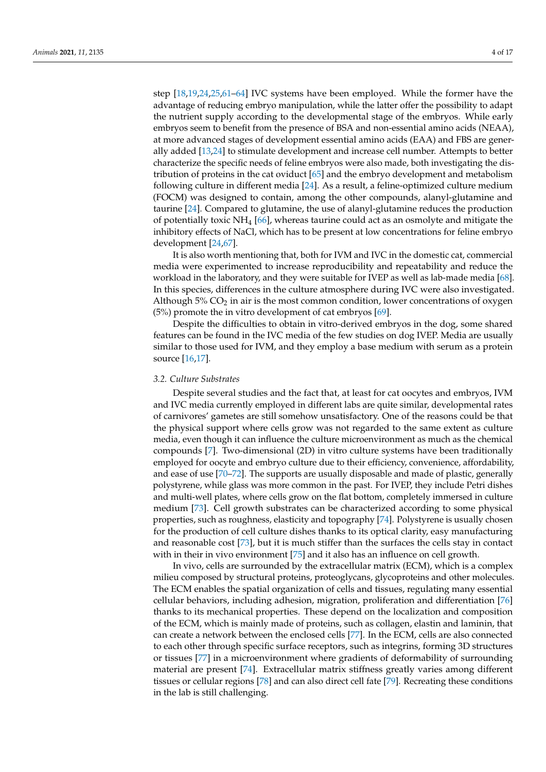step [\[18,](#page-11-17)[19,](#page-11-18)[24](#page-11-25)[,25](#page-11-21)[,61](#page-13-7)[–64\]](#page-13-8) IVC systems have been employed. While the former have the advantage of reducing embryo manipulation, while the latter offer the possibility to adapt the nutrient supply according to the developmental stage of the embryos. While early embryos seem to benefit from the presence of BSA and non-essential amino acids (NEAA), at more advanced stages of development essential amino acids (EAA) and FBS are generally added [\[13](#page-11-12)[,24\]](#page-11-25) to stimulate development and increase cell number. Attempts to better characterize the specific needs of feline embryos were also made, both investigating the distribution of proteins in the cat oviduct [\[65\]](#page-13-9) and the embryo development and metabolism following culture in different media [\[24\]](#page-11-25). As a result, a feline-optimized culture medium (FOCM) was designed to contain, among the other compounds, alanyl-glutamine and taurine [\[24\]](#page-11-25). Compared to glutamine, the use of alanyl-glutamine reduces the production of potentially toxic  $NH_4$  [\[66\]](#page-13-10), whereas taurine could act as an osmolyte and mitigate the inhibitory effects of NaCl, which has to be present at low concentrations for feline embryo development [\[24,](#page-11-25)[67\]](#page-13-11).

It is also worth mentioning that, both for IVM and IVC in the domestic cat, commercial media were experimented to increase reproducibility and repeatability and reduce the workload in the laboratory, and they were suitable for IVEP as well as lab-made media [\[68\]](#page-13-12). In this species, differences in the culture atmosphere during IVC were also investigated. Although  $5\%$  CO<sub>2</sub> in air is the most common condition, lower concentrations of oxygen (5%) promote the in vitro development of cat embryos [\[69\]](#page-13-13).

Despite the difficulties to obtain in vitro-derived embryos in the dog, some shared features can be found in the IVC media of the few studies on dog IVEP. Media are usually similar to those used for IVM, and they employ a base medium with serum as a protein source [\[16,](#page-11-15)[17\]](#page-11-16).

### *3.2. Culture Substrates*

Despite several studies and the fact that, at least for cat oocytes and embryos, IVM and IVC media currently employed in different labs are quite similar, developmental rates of carnivores' gametes are still somehow unsatisfactory. One of the reasons could be that the physical support where cells grow was not regarded to the same extent as culture media, even though it can influence the culture microenvironment as much as the chemical compounds [\[7\]](#page-11-6). Two-dimensional (2D) in vitro culture systems have been traditionally employed for oocyte and embryo culture due to their efficiency, convenience, affordability, and ease of use [\[70](#page-13-14)[–72\]](#page-13-15). The supports are usually disposable and made of plastic, generally polystyrene, while glass was more common in the past. For IVEP, they include Petri dishes and multi-well plates, where cells grow on the flat bottom, completely immersed in culture medium [\[73\]](#page-13-16). Cell growth substrates can be characterized according to some physical properties, such as roughness, elasticity and topography [\[74\]](#page-13-17). Polystyrene is usually chosen for the production of cell culture dishes thanks to its optical clarity, easy manufacturing and reasonable cost [\[73\]](#page-13-16), but it is much stiffer than the surfaces the cells stay in contact with in their in vivo environment [\[75\]](#page-13-18) and it also has an influence on cell growth.

In vivo, cells are surrounded by the extracellular matrix (ECM), which is a complex milieu composed by structural proteins, proteoglycans, glycoproteins and other molecules. The ECM enables the spatial organization of cells and tissues, regulating many essential cellular behaviors, including adhesion, migration, proliferation and differentiation [\[76\]](#page-13-19) thanks to its mechanical properties. These depend on the localization and composition of the ECM, which is mainly made of proteins, such as collagen, elastin and laminin, that can create a network between the enclosed cells [\[77\]](#page-13-20). In the ECM, cells are also connected to each other through specific surface receptors, such as integrins, forming 3D structures or tissues [\[77\]](#page-13-20) in a microenvironment where gradients of deformability of surrounding material are present [\[74\]](#page-13-17). Extracellular matrix stiffness greatly varies among different tissues or cellular regions [\[78\]](#page-13-21) and can also direct cell fate [\[79\]](#page-13-22). Recreating these conditions in the lab is still challenging.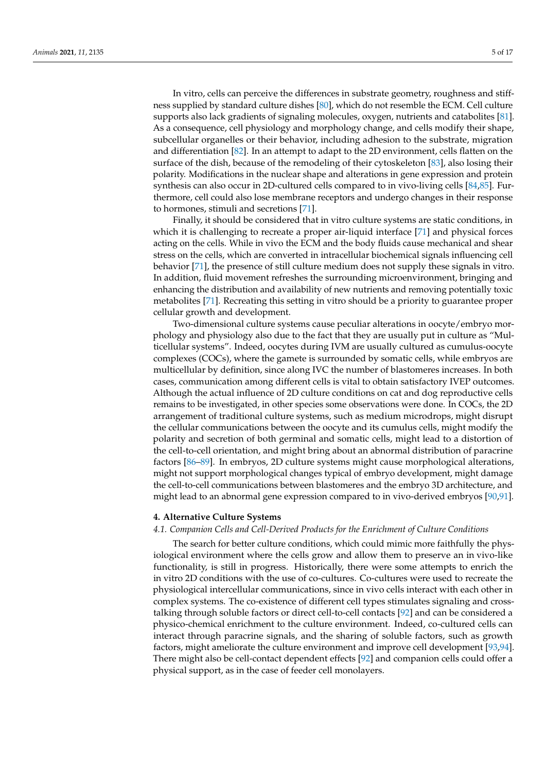In vitro, cells can perceive the differences in substrate geometry, roughness and stiffness supplied by standard culture dishes [\[80\]](#page-13-23), which do not resemble the ECM. Cell culture supports also lack gradients of signaling molecules, oxygen, nutrients and catabolites [\[81\]](#page-13-24). As a consequence, cell physiology and morphology change, and cells modify their shape, subcellular organelles or their behavior, including adhesion to the substrate, migration and differentiation [\[82\]](#page-13-25). In an attempt to adapt to the 2D environment, cells flatten on the surface of the dish, because of the remodeling of their cytoskeleton [\[83\]](#page-14-0), also losing their polarity. Modifications in the nuclear shape and alterations in gene expression and protein synthesis can also occur in 2D-cultured cells compared to in vivo-living cells [\[84](#page-14-1)[,85\]](#page-14-2). Furthermore, cell could also lose membrane receptors and undergo changes in their response to hormones, stimuli and secretions [\[71\]](#page-13-26).

Finally, it should be considered that in vitro culture systems are static conditions, in which it is challenging to recreate a proper air-liquid interface [\[71\]](#page-13-26) and physical forces acting on the cells. While in vivo the ECM and the body fluids cause mechanical and shear stress on the cells, which are converted in intracellular biochemical signals influencing cell behavior [\[71\]](#page-13-26), the presence of still culture medium does not supply these signals in vitro. In addition, fluid movement refreshes the surrounding microenvironment, bringing and enhancing the distribution and availability of new nutrients and removing potentially toxic metabolites [\[71\]](#page-13-26). Recreating this setting in vitro should be a priority to guarantee proper cellular growth and development.

Two-dimensional culture systems cause peculiar alterations in oocyte/embryo morphology and physiology also due to the fact that they are usually put in culture as "Multicellular systems". Indeed, oocytes during IVM are usually cultured as cumulus-oocyte complexes (COCs), where the gamete is surrounded by somatic cells, while embryos are multicellular by definition, since along IVC the number of blastomeres increases. In both cases, communication among different cells is vital to obtain satisfactory IVEP outcomes. Although the actual influence of 2D culture conditions on cat and dog reproductive cells remains to be investigated, in other species some observations were done. In COCs, the 2D arrangement of traditional culture systems, such as medium microdrops, might disrupt the cellular communications between the oocyte and its cumulus cells, might modify the polarity and secretion of both germinal and somatic cells, might lead to a distortion of the cell-to-cell orientation, and might bring about an abnormal distribution of paracrine factors [\[86–](#page-14-3)[89\]](#page-14-4). In embryos, 2D culture systems might cause morphological alterations, might not support morphological changes typical of embryo development, might damage the cell-to-cell communications between blastomeres and the embryo 3D architecture, and might lead to an abnormal gene expression compared to in vivo-derived embryos [\[90,](#page-14-5)[91\]](#page-14-6).

#### **4. Alternative Culture Systems**

#### *4.1. Companion Cells and Cell-Derived Products for the Enrichment of Culture Conditions*

The search for better culture conditions, which could mimic more faithfully the physiological environment where the cells grow and allow them to preserve an in vivo-like functionality, is still in progress. Historically, there were some attempts to enrich the in vitro 2D conditions with the use of co-cultures. Co-cultures were used to recreate the physiological intercellular communications, since in vivo cells interact with each other in complex systems. The co-existence of different cell types stimulates signaling and crosstalking through soluble factors or direct cell-to-cell contacts [\[92\]](#page-14-7) and can be considered a physico-chemical enrichment to the culture environment. Indeed, co-cultured cells can interact through paracrine signals, and the sharing of soluble factors, such as growth factors, might ameliorate the culture environment and improve cell development [\[93,](#page-14-8)[94\]](#page-14-9). There might also be cell-contact dependent effects [\[92\]](#page-14-7) and companion cells could offer a physical support, as in the case of feeder cell monolayers.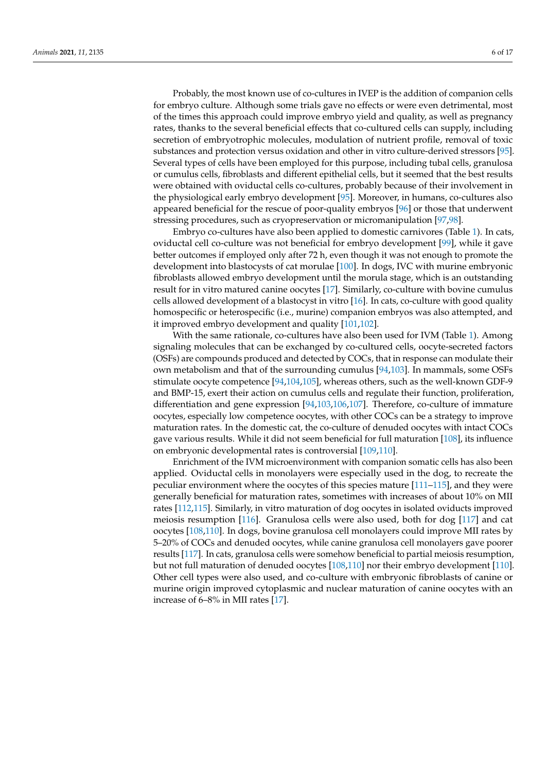Probably, the most known use of co-cultures in IVEP is the addition of companion cells for embryo culture. Although some trials gave no effects or were even detrimental, most of the times this approach could improve embryo yield and quality, as well as pregnancy rates, thanks to the several beneficial effects that co-cultured cells can supply, including secretion of embryotrophic molecules, modulation of nutrient profile, removal of toxic substances and protection versus oxidation and other in vitro culture-derived stressors [\[95\]](#page-14-10). Several types of cells have been employed for this purpose, including tubal cells, granulosa or cumulus cells, fibroblasts and different epithelial cells, but it seemed that the best results were obtained with oviductal cells co-cultures, probably because of their involvement in the physiological early embryo development [\[95\]](#page-14-10). Moreover, in humans, co-cultures also appeared beneficial for the rescue of poor-quality embryos [\[96\]](#page-14-11) or those that underwent stressing procedures, such as cryopreservation or micromanipulation [\[97,](#page-14-12)[98\]](#page-14-13).

Embryo co-cultures have also been applied to domestic carnivores (Table [1\)](#page-6-0). In cats, oviductal cell co-culture was not beneficial for embryo development [\[99\]](#page-14-14), while it gave better outcomes if employed only after 72 h, even though it was not enough to promote the development into blastocysts of cat morulae [\[100\]](#page-14-15). In dogs, IVC with murine embryonic fibroblasts allowed embryo development until the morula stage, which is an outstanding result for in vitro matured canine oocytes [\[17\]](#page-11-16). Similarly, co-culture with bovine cumulus cells allowed development of a blastocyst in vitro [\[16\]](#page-11-15). In cats, co-culture with good quality homospecific or heterospecific (i.e., murine) companion embryos was also attempted, and it improved embryo development and quality [\[101,](#page-14-16)[102\]](#page-14-17).

With the same rationale, co-cultures have also been used for IVM (Table [1\)](#page-6-0). Among signaling molecules that can be exchanged by co-cultured cells, oocyte-secreted factors (OSFs) are compounds produced and detected by COCs, that in response can modulate their own metabolism and that of the surrounding cumulus [\[94,](#page-14-9)[103\]](#page-14-18). In mammals, some OSFs stimulate oocyte competence [\[94](#page-14-9)[,104](#page-14-19)[,105\]](#page-14-20), whereas others, such as the well-known GDF-9 and BMP-15, exert their action on cumulus cells and regulate their function, proliferation, differentiation and gene expression [\[94](#page-14-9)[,103](#page-14-18)[,106,](#page-14-21)[107\]](#page-14-22). Therefore, co-culture of immature oocytes, especially low competence oocytes, with other COCs can be a strategy to improve maturation rates. In the domestic cat, the co-culture of denuded oocytes with intact COCs gave various results. While it did not seem beneficial for full maturation [\[108\]](#page-14-23), its influence on embryonic developmental rates is controversial [\[109,](#page-15-0)[110\]](#page-15-1).

Enrichment of the IVM microenvironment with companion somatic cells has also been applied. Oviductal cells in monolayers were especially used in the dog, to recreate the peculiar environment where the oocytes of this species mature [\[111](#page-15-2)[–115\]](#page-15-3), and they were generally beneficial for maturation rates, sometimes with increases of about 10% on MII rates [\[112](#page-15-4)[,115\]](#page-15-3). Similarly, in vitro maturation of dog oocytes in isolated oviducts improved meiosis resumption [\[116\]](#page-15-5). Granulosa cells were also used, both for dog [\[117\]](#page-15-6) and cat oocytes [\[108](#page-14-23)[,110\]](#page-15-1). In dogs, bovine granulosa cell monolayers could improve MII rates by 5–20% of COCs and denuded oocytes, while canine granulosa cell monolayers gave poorer results [\[117\]](#page-15-6). In cats, granulosa cells were somehow beneficial to partial meiosis resumption, but not full maturation of denuded oocytes [\[108](#page-14-23)[,110\]](#page-15-1) nor their embryo development [\[110\]](#page-15-1). Other cell types were also used, and co-culture with embryonic fibroblasts of canine or murine origin improved cytoplasmic and nuclear maturation of canine oocytes with an increase of 6–8% in MII rates [\[17\]](#page-11-16).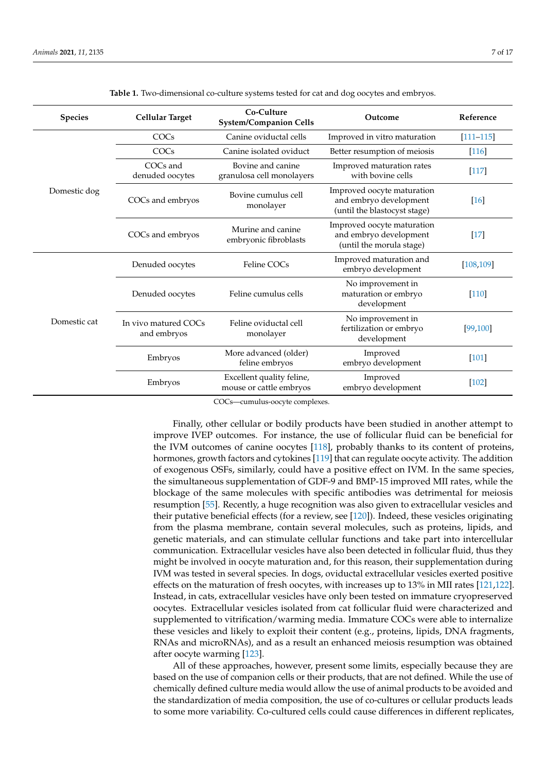<span id="page-6-0"></span>

| <b>Species</b> | <b>Cellular Target</b>              | Co-Culture<br><b>System/Companion Cells</b>          | Outcome                                                                              | Reference          |
|----------------|-------------------------------------|------------------------------------------------------|--------------------------------------------------------------------------------------|--------------------|
| Domestic dog   | COCs                                | Canine oviductal cells                               | Improved in vitro maturation                                                         | $[111 - 115]$      |
|                | COCs                                | Canine isolated oviduct                              | Better resumption of meiosis                                                         | $[116]$            |
|                | COCs and<br>denuded oocytes         | Bovine and canine<br>granulosa cell monolayers       | Improved maturation rates<br>with bovine cells                                       | $[117]$            |
|                | COCs and embryos                    | Bovine cumulus cell<br>monolayer                     | Improved oocyte maturation<br>and embryo development<br>(until the blastocyst stage) | $\lceil 16 \rceil$ |
|                | COCs and embryos                    | Murine and canine<br>embryonic fibroblasts           | Improved oocyte maturation<br>and embryo development<br>(until the morula stage)     | $[17]$             |
| Domestic cat   | Denuded oocytes                     | Feline COCs                                          | Improved maturation and<br>embryo development                                        | [108, 109]         |
|                | Denuded oocytes                     | Feline cumulus cells                                 | No improvement in<br>maturation or embryo<br>development                             | [110]              |
|                | In vivo matured COCs<br>and embryos | Feline oviductal cell<br>monolayer                   | No improvement in<br>fertilization or embryo<br>development                          | [99, 100]          |
|                | Embryos                             | More advanced (older)<br>feline embryos              | Improved<br>embryo development                                                       | $[101]$            |
|                | Embryos                             | Excellent quality feline,<br>mouse or cattle embryos | Improved<br>embryo development                                                       | $[102]$            |

**Table 1.** Two-dimensional co-culture systems tested for cat and dog oocytes and embryos.

COCs—cumulus-oocyte complexes.

Finally, other cellular or bodily products have been studied in another attempt to improve IVEP outcomes. For instance, the use of follicular fluid can be beneficial for the IVM outcomes of canine oocytes [\[118\]](#page-15-7), probably thanks to its content of proteins, hormones, growth factors and cytokines [\[119\]](#page-15-8) that can regulate oocyte activity. The addition of exogenous OSFs, similarly, could have a positive effect on IVM. In the same species, the simultaneous supplementation of GDF-9 and BMP-15 improved MII rates, while the blockage of the same molecules with specific antibodies was detrimental for meiosis resumption [\[55\]](#page-13-1). Recently, a huge recognition was also given to extracellular vesicles and their putative beneficial effects (for a review, see [\[120\]](#page-15-9)). Indeed, these vesicles originating from the plasma membrane, contain several molecules, such as proteins, lipids, and genetic materials, and can stimulate cellular functions and take part into intercellular communication. Extracellular vesicles have also been detected in follicular fluid, thus they might be involved in oocyte maturation and, for this reason, their supplementation during IVM was tested in several species. In dogs, oviductal extracellular vesicles exerted positive effects on the maturation of fresh oocytes, with increases up to 13% in MII rates [\[121,](#page-15-10)[122\]](#page-15-11). Instead, in cats, extracellular vesicles have only been tested on immature cryopreserved oocytes. Extracellular vesicles isolated from cat follicular fluid were characterized and supplemented to vitrification/warming media. Immature COCs were able to internalize these vesicles and likely to exploit their content (e.g., proteins, lipids, DNA fragments, RNAs and microRNAs), and as a result an enhanced meiosis resumption was obtained after oocyte warming [\[123\]](#page-15-12).

All of these approaches, however, present some limits, especially because they are based on the use of companion cells or their products, that are not defined. While the use of chemically defined culture media would allow the use of animal products to be avoided and the standardization of media composition, the use of co-cultures or cellular products leads to some more variability. Co-cultured cells could cause differences in different replicates,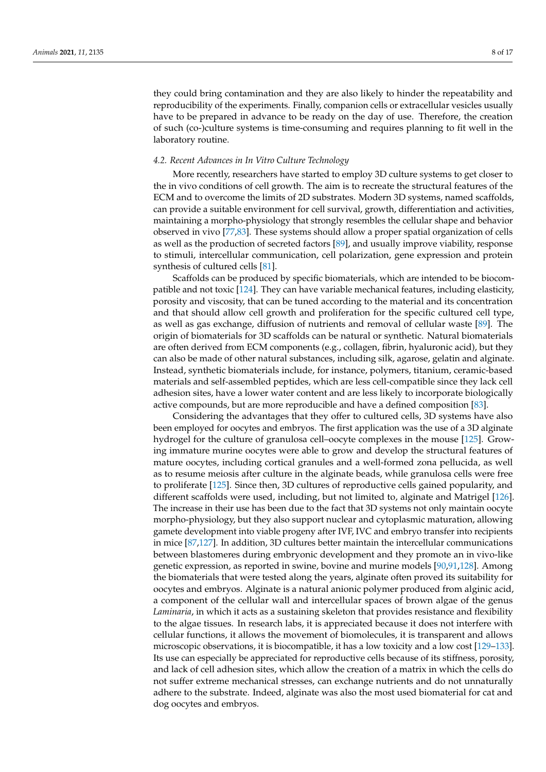they could bring contamination and they are also likely to hinder the repeatability and reproducibility of the experiments. Finally, companion cells or extracellular vesicles usually have to be prepared in advance to be ready on the day of use. Therefore, the creation of such (co-)culture systems is time-consuming and requires planning to fit well in the laboratory routine.

#### *4.2. Recent Advances in In Vitro Culture Technology*

More recently, researchers have started to employ 3D culture systems to get closer to the in vivo conditions of cell growth. The aim is to recreate the structural features of the ECM and to overcome the limits of 2D substrates. Modern 3D systems, named scaffolds, can provide a suitable environment for cell survival, growth, differentiation and activities, maintaining a morpho-physiology that strongly resembles the cellular shape and behavior observed in vivo [\[77](#page-13-20)[,83\]](#page-14-0). These systems should allow a proper spatial organization of cells as well as the production of secreted factors [\[89\]](#page-14-4), and usually improve viability, response to stimuli, intercellular communication, cell polarization, gene expression and protein synthesis of cultured cells [\[81\]](#page-13-24).

Scaffolds can be produced by specific biomaterials, which are intended to be biocompatible and not toxic [\[124\]](#page-15-13). They can have variable mechanical features, including elasticity, porosity and viscosity, that can be tuned according to the material and its concentration and that should allow cell growth and proliferation for the specific cultured cell type, as well as gas exchange, diffusion of nutrients and removal of cellular waste [\[89\]](#page-14-4). The origin of biomaterials for 3D scaffolds can be natural or synthetic. Natural biomaterials are often derived from ECM components (e.g., collagen, fibrin, hyaluronic acid), but they can also be made of other natural substances, including silk, agarose, gelatin and alginate. Instead, synthetic biomaterials include, for instance, polymers, titanium, ceramic-based materials and self-assembled peptides, which are less cell-compatible since they lack cell adhesion sites, have a lower water content and are less likely to incorporate biologically active compounds, but are more reproducible and have a defined composition [\[83\]](#page-14-0).

Considering the advantages that they offer to cultured cells, 3D systems have also been employed for oocytes and embryos. The first application was the use of a 3D alginate hydrogel for the culture of granulosa cell–oocyte complexes in the mouse [\[125\]](#page-15-14). Growing immature murine oocytes were able to grow and develop the structural features of mature oocytes, including cortical granules and a well-formed zona pellucida, as well as to resume meiosis after culture in the alginate beads, while granulosa cells were free to proliferate [\[125\]](#page-15-14). Since then, 3D cultures of reproductive cells gained popularity, and different scaffolds were used, including, but not limited to, alginate and Matrigel [\[126\]](#page-15-15). The increase in their use has been due to the fact that 3D systems not only maintain oocyte morpho-physiology, but they also support nuclear and cytoplasmic maturation, allowing gamete development into viable progeny after IVF, IVC and embryo transfer into recipients in mice [\[87,](#page-14-24)[127\]](#page-15-16). In addition, 3D cultures better maintain the intercellular communications between blastomeres during embryonic development and they promote an in vivo-like genetic expression, as reported in swine, bovine and murine models [\[90](#page-14-5)[,91](#page-14-6)[,128\]](#page-15-17). Among the biomaterials that were tested along the years, alginate often proved its suitability for oocytes and embryos. Alginate is a natural anionic polymer produced from alginic acid, a component of the cellular wall and intercellular spaces of brown algae of the genus *Laminaria*, in which it acts as a sustaining skeleton that provides resistance and flexibility to the algae tissues. In research labs, it is appreciated because it does not interfere with cellular functions, it allows the movement of biomolecules, it is transparent and allows microscopic observations, it is biocompatible, it has a low toxicity and a low cost [\[129](#page-15-18)[–133\]](#page-15-19). Its use can especially be appreciated for reproductive cells because of its stiffness, porosity, and lack of cell adhesion sites, which allow the creation of a matrix in which the cells do not suffer extreme mechanical stresses, can exchange nutrients and do not unnaturally adhere to the substrate. Indeed, alginate was also the most used biomaterial for cat and dog oocytes and embryos.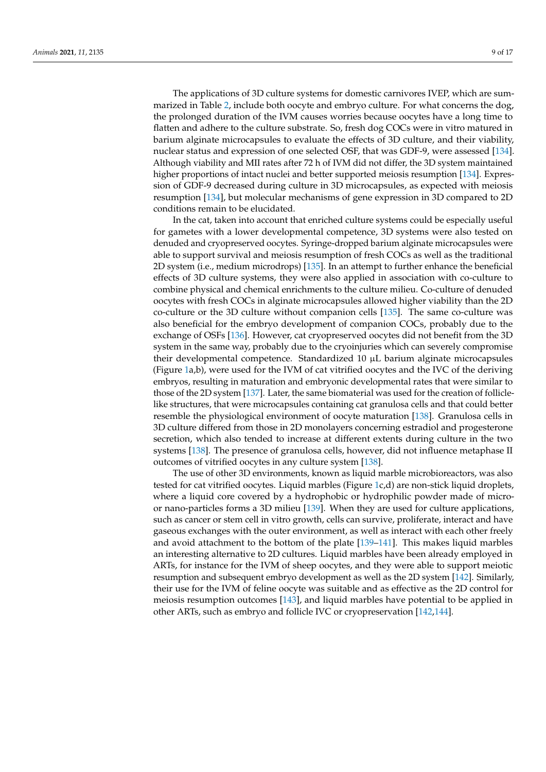The applications of 3D culture systems for domestic carnivores IVEP, which are summarized in Table [2,](#page-9-0) include both oocyte and embryo culture. For what concerns the dog, the prolonged duration of the IVM causes worries because oocytes have a long time to flatten and adhere to the culture substrate. So, fresh dog COCs were in vitro matured in barium alginate microcapsules to evaluate the effects of 3D culture, and their viability, nuclear status and expression of one selected OSF, that was GDF-9, were assessed [\[134\]](#page-15-20). Although viability and MII rates after 72 h of IVM did not differ, the 3D system maintained higher proportions of intact nuclei and better supported meiosis resumption [\[134\]](#page-15-20). Expression of GDF-9 decreased during culture in 3D microcapsules, as expected with meiosis resumption [\[134\]](#page-15-20), but molecular mechanisms of gene expression in 3D compared to 2D

conditions remain to be elucidated. In the cat, taken into account that enriched culture systems could be especially useful for gametes with a lower developmental competence, 3D systems were also tested on denuded and cryopreserved oocytes. Syringe-dropped barium alginate microcapsules were able to support survival and meiosis resumption of fresh COCs as well as the traditional 2D system (i.e., medium microdrops) [\[135\]](#page-15-21). In an attempt to further enhance the beneficial effects of 3D culture systems, they were also applied in association with co-culture to combine physical and chemical enrichments to the culture milieu. Co-culture of denuded oocytes with fresh COCs in alginate microcapsules allowed higher viability than the 2D co-culture or the 3D culture without companion cells [\[135\]](#page-15-21). The same co-culture was also beneficial for the embryo development of companion COCs, probably due to the exchange of OSFs [\[136\]](#page-15-22). However, cat cryopreserved oocytes did not benefit from the 3D system in the same way, probably due to the cryoinjuries which can severely compromise their developmental competence. Standardized 10 µL barium alginate microcapsules (Figure [1a](#page-9-1),b), were used for the IVM of cat vitrified oocytes and the IVC of the deriving embryos, resulting in maturation and embryonic developmental rates that were similar to those of the 2D system [\[137\]](#page-15-23). Later, the same biomaterial was used for the creation of folliclelike structures, that were microcapsules containing cat granulosa cells and that could better resemble the physiological environment of oocyte maturation [\[138\]](#page-15-24). Granulosa cells in 3D culture differed from those in 2D monolayers concerning estradiol and progesterone secretion, which also tended to increase at different extents during culture in the two systems [\[138\]](#page-15-24). The presence of granulosa cells, however, did not influence metaphase II outcomes of vitrified oocytes in any culture system [\[138\]](#page-15-24).

The use of other 3D environments, known as liquid marble microbioreactors, was also tested for cat vitrified oocytes. Liquid marbles (Figure [1c](#page-9-1),d) are non-stick liquid droplets, where a liquid core covered by a hydrophobic or hydrophilic powder made of microor nano-particles forms a 3D milieu [\[139\]](#page-16-0). When they are used for culture applications, such as cancer or stem cell in vitro growth, cells can survive, proliferate, interact and have gaseous exchanges with the outer environment, as well as interact with each other freely and avoid attachment to the bottom of the plate [\[139–](#page-16-0)[141\]](#page-16-1). This makes liquid marbles an interesting alternative to 2D cultures. Liquid marbles have been already employed in ARTs, for instance for the IVM of sheep oocytes, and they were able to support meiotic resumption and subsequent embryo development as well as the 2D system [\[142\]](#page-16-2). Similarly, their use for the IVM of feline oocyte was suitable and as effective as the 2D control for meiosis resumption outcomes [\[143\]](#page-16-3), and liquid marbles have potential to be applied in other ARTs, such as embryo and follicle IVC or cryopreservation [\[142](#page-16-2)[,144\]](#page-16-4).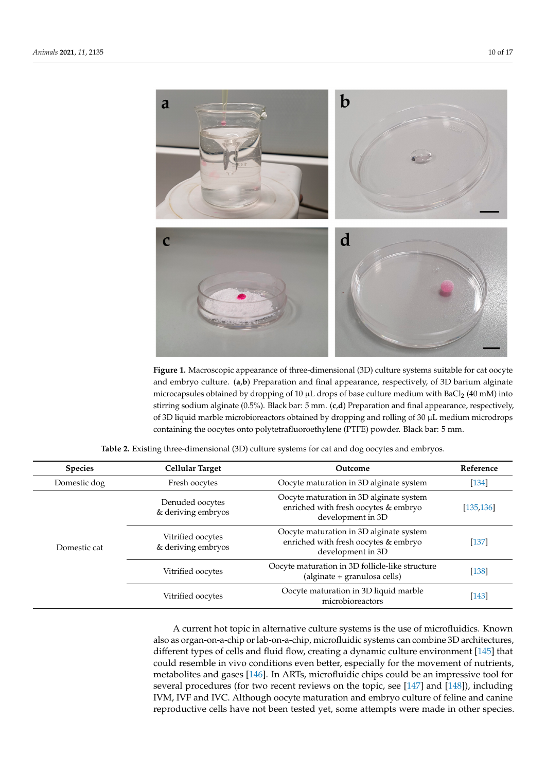<span id="page-9-1"></span>

**Figure 1.** Macroscopic appearance of three-dimensional (3D) culture systems suitable for cat oocyte **Figure 1.** Macroscopic appearance of three-dimensional (3D) culture systems suitable for cat oocyte and embryo culture. (a,b) Preparation and final appearance, respectively, of 3D barium alginate microcapsules obtained by dropping of 10  $\mu$ L drops of base culture medium with BaCl<sub>2</sub> (40 mM) into into stirring sodium alginate (0.5%). Black bar: 5 mm. (**c**,**d**) Preparation and final appearance, restirring sodium alginate (0.5%). Black bar: 5 mm. (**c**,**d**) Preparation and final appearance, respectively, of 3D liquid marble microbioreactors obtained by dropping and rolling of 30  $\mu$ L medium microdrops containing the oocytes onto polytetrafluoroethylene (PTFE) powder. Black bar: 5 mm.

<span id="page-9-0"></span>

| <b>Species</b> | <b>Cellular Target</b>                  | Outcome                                                                                              | Reference  |
|----------------|-----------------------------------------|------------------------------------------------------------------------------------------------------|------------|
| Domestic dog   | Fresh oocytes                           | Oocyte maturation in 3D alginate system                                                              | $[134]$    |
|                | Denuded oocytes<br>& deriving embryos   | Oocyte maturation in 3D alginate system<br>enriched with fresh oocytes & embryo<br>development in 3D | [135, 136] |
| Domestic cat   | Vitrified oocytes<br>& deriving embryos | Oocyte maturation in 3D alginate system<br>enriched with fresh oocytes & embryo<br>development in 3D | $[137]$    |
|                | Vitrified oocytes                       | Oocyte maturation in 3D follicle-like structure<br>(alginate + granulosa cells)                      | $[138]$    |
|                | Vitrified oocytes                       | Oocyte maturation in 3D liquid marble<br>microbioreactors                                            | $[143]$    |

 $A^*$  current hot topic in alternative culture systems is the use of microfluidics. Known is the use of microfluidics. **Table 2.** Existing three-dimensional (3D) culture systems for cat and dog oocytes and embryos.

> A current hot topic in alternative culture systems is the use of microfluidics. Known also as organ-on-a-chip or lab-on-a-chip, microfluidic systems can combine 3D architectures, different types of cells and fluid flow, creating a dynamic culture environment [\[145\]](#page-16-5) that could resemble in vivo conditions even better, especially for the movement of nutrients, metabolites and gases [\[146\]](#page-16-6). In ARTs, microfluidic chips could be an impressive tool for several procedures (for two recent reviews on the topic, see [\[147\]](#page-16-7) and [\[148\]](#page-16-8)), including IVM, IVF and IVC. Although oocyte maturation and embryo culture of feline and canine reproductive cells have not been tested yet, some attempts were made in other species.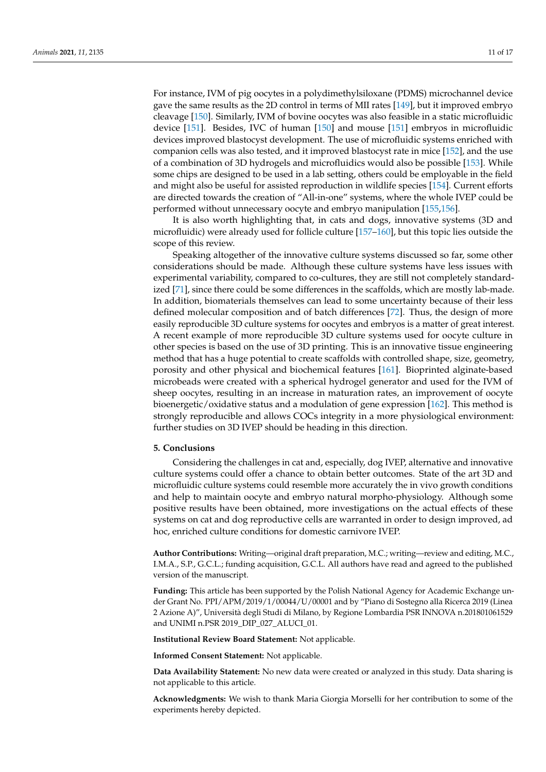For instance, IVM of pig oocytes in a polydimethylsiloxane (PDMS) microchannel device gave the same results as the 2D control in terms of MII rates [\[149\]](#page-16-9), but it improved embryo cleavage [\[150\]](#page-16-10). Similarly, IVM of bovine oocytes was also feasible in a static microfluidic device [\[151\]](#page-16-11). Besides, IVC of human [\[150\]](#page-16-10) and mouse [\[151\]](#page-16-11) embryos in microfluidic devices improved blastocyst development. The use of microfluidic systems enriched with companion cells was also tested, and it improved blastocyst rate in mice [\[152\]](#page-16-12), and the use of a combination of 3D hydrogels and microfluidics would also be possible [\[153\]](#page-16-13). While some chips are designed to be used in a lab setting, others could be employable in the field and might also be useful for assisted reproduction in wildlife species [\[154\]](#page-16-14). Current efforts are directed towards the creation of "All-in-one" systems, where the whole IVEP could be performed without unnecessary oocyte and embryo manipulation [\[155,](#page-16-15)[156\]](#page-16-16).

It is also worth highlighting that, in cats and dogs, innovative systems (3D and microfluidic) were already used for follicle culture [\[157](#page-16-17)[–160\]](#page-16-18), but this topic lies outside the scope of this review.

Speaking altogether of the innovative culture systems discussed so far, some other considerations should be made. Although these culture systems have less issues with experimental variability, compared to co-cultures, they are still not completely standardized [\[71\]](#page-13-26), since there could be some differences in the scaffolds, which are mostly lab-made. In addition, biomaterials themselves can lead to some uncertainty because of their less defined molecular composition and of batch differences [\[72\]](#page-13-15). Thus, the design of more easily reproducible 3D culture systems for oocytes and embryos is a matter of great interest. A recent example of more reproducible 3D culture systems used for oocyte culture in other species is based on the use of 3D printing. This is an innovative tissue engineering method that has a huge potential to create scaffolds with controlled shape, size, geometry, porosity and other physical and biochemical features [\[161\]](#page-16-19). Bioprinted alginate-based microbeads were created with a spherical hydrogel generator and used for the IVM of sheep oocytes, resulting in an increase in maturation rates, an improvement of oocyte bioenergetic/oxidative status and a modulation of gene expression [\[162\]](#page-16-20). This method is strongly reproducible and allows COCs integrity in a more physiological environment: further studies on 3D IVEP should be heading in this direction.

#### **5. Conclusions**

Considering the challenges in cat and, especially, dog IVEP, alternative and innovative culture systems could offer a chance to obtain better outcomes. State of the art 3D and microfluidic culture systems could resemble more accurately the in vivo growth conditions and help to maintain oocyte and embryo natural morpho-physiology. Although some positive results have been obtained, more investigations on the actual effects of these systems on cat and dog reproductive cells are warranted in order to design improved, ad hoc, enriched culture conditions for domestic carnivore IVEP.

**Author Contributions:** Writing—original draft preparation, M.C.; writing—review and editing, M.C., I.M.A., S.P., G.C.L.; funding acquisition, G.C.L. All authors have read and agreed to the published version of the manuscript.

**Funding:** This article has been supported by the Polish National Agency for Academic Exchange under Grant No. PPI/APM/2019/1/00044/U/00001 and by "Piano di Sostegno alla Ricerca 2019 (Linea 2 Azione A)", Università degli Studi di Milano, by Regione Lombardia PSR INNOVA n.201801061529 and UNIMI n.PSR 2019\_DIP\_027\_ALUCI\_01.

**Institutional Review Board Statement:** Not applicable.

**Informed Consent Statement:** Not applicable.

**Data Availability Statement:** No new data were created or analyzed in this study. Data sharing is not applicable to this article.

**Acknowledgments:** We wish to thank Maria Giorgia Morselli for her contribution to some of the experiments hereby depicted.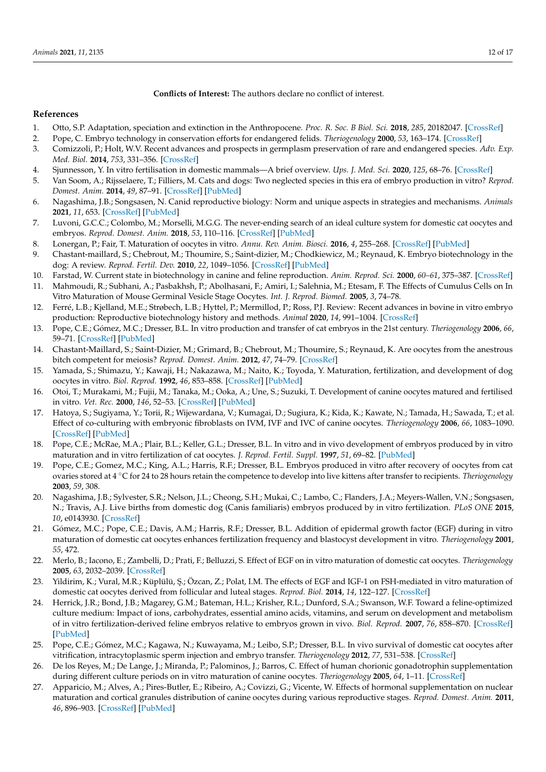**Conflicts of Interest:** The authors declare no conflict of interest.

#### **References**

- <span id="page-11-0"></span>1. Otto, S.P. Adaptation, speciation and extinction in the Anthropocene. *Proc. R. Soc. B Biol. Sci.* **2018**, *285*, 20182047. [\[CrossRef\]](http://doi.org/10.1098/rspb.2018.2047)
- <span id="page-11-1"></span>2. Pope, C. Embryo technology in conservation efforts for endangered felids. *Theriogenology* **2000**, *53*, 163–174. [\[CrossRef\]](http://doi.org/10.1016/S0093-691X(99)00249-6)
- <span id="page-11-2"></span>3. Comizzoli, P.; Holt, W.V. Recent advances and prospects in germplasm preservation of rare and endangered species. *Adv. Exp. Med. Biol.* **2014**, *753*, 331–356. [\[CrossRef\]](http://doi.org/10.1007/978-1-4939-0820-2_14)
- <span id="page-11-3"></span>4. Sjunnesson, Y. In vitro fertilisation in domestic mammals—A brief overview. *Ups. J. Med. Sci.* **2020**, *125*, 68–76. [\[CrossRef\]](http://doi.org/10.1080/03009734.2019.1697911)
- <span id="page-11-4"></span>5. Van Soom, A.; Rijsselaere, T.; Filliers, M. Cats and dogs: Two neglected species in this era of embryo production in vitro? *Reprod. Domest. Anim.* **2014**, *49*, 87–91. [\[CrossRef\]](http://doi.org/10.1111/rda.12303) [\[PubMed\]](http://www.ncbi.nlm.nih.gov/pubmed/24947866)
- <span id="page-11-5"></span>6. Nagashima, J.B.; Songsasen, N. Canid reproductive biology: Norm and unique aspects in strategies and mechanisms. *Animals* **2021**, *11*, 653. [\[CrossRef\]](http://doi.org/10.3390/ani11030653) [\[PubMed\]](http://www.ncbi.nlm.nih.gov/pubmed/33804569)
- <span id="page-11-6"></span>7. Luvoni, G.C.C.; Colombo, M.; Morselli, M.G.G. The never-ending search of an ideal culture system for domestic cat oocytes and embryos. *Reprod. Domest. Anim.* **2018**, *53*, 110–116. [\[CrossRef\]](http://doi.org/10.1111/rda.13331) [\[PubMed\]](http://www.ncbi.nlm.nih.gov/pubmed/30474340)
- <span id="page-11-7"></span>8. Lonergan, P.; Fair, T. Maturation of oocytes in vitro. *Annu. Rev. Anim. Biosci.* **2016**, *4*, 255–268. [\[CrossRef\]](http://doi.org/10.1146/annurev-animal-022114-110822) [\[PubMed\]](http://www.ncbi.nlm.nih.gov/pubmed/26566159)
- <span id="page-11-8"></span>9. Chastant-maillard, S.; Chebrout, M.; Thoumire, S.; Saint-dizier, M.; Chodkiewicz, M.; Reynaud, K. Embryo biotechnology in the dog: A review. *Reprod. Fertil. Dev.* **2010**, *22*, 1049–1056. [\[CrossRef\]](http://doi.org/10.1071/RD09270) [\[PubMed\]](http://www.ncbi.nlm.nih.gov/pubmed/20797342)
- <span id="page-11-9"></span>10. Farstad, W. Current state in biotechnology in canine and feline reproduction. *Anim. Reprod. Sci.* **2000**, *60–61*, 375–387. [\[CrossRef\]](http://doi.org/10.1016/S0378-4320(00)00106-8)
- <span id="page-11-10"></span>11. Mahmoudi, R.; Subhani, A.; Pasbakhsh, P.; Abolhasani, F.; Amiri, I.; Salehnia, M.; Etesam, F. The Effects of Cumulus Cells on In Vitro Maturation of Mouse Germinal Vesicle Stage Oocytes. *Int. J. Reprod. Biomed.* **2005**, *3*, 74–78.
- <span id="page-11-11"></span>12. Ferré, L.B.; Kjelland, M.E.; Strøbech, L.B.; Hyttel, P.; Mermillod, P.; Ross, P.J. Review: Recent advances in bovine in vitro embryo production: Reproductive biotechnology history and methods. *Animal* **2020**, *14*, 991–1004. [\[CrossRef\]](http://doi.org/10.1017/S1751731119002775)
- <span id="page-11-12"></span>13. Pope, C.E.; Gómez, M.C.; Dresser, B.L. In vitro production and transfer of cat embryos in the 21st century. *Theriogenology* **2006**, *66*, 59–71. [\[CrossRef\]](http://doi.org/10.1016/j.theriogenology.2006.03.014) [\[PubMed\]](http://www.ncbi.nlm.nih.gov/pubmed/16620940)
- <span id="page-11-13"></span>14. Chastant-Maillard, S.; Saint-Dizier, M.; Grimard, B.; Chebrout, M.; Thoumire, S.; Reynaud, K. Are oocytes from the anestrous bitch competent for meiosis? *Reprod. Domest. Anim.* **2012**, *47*, 74–79. [\[CrossRef\]](http://doi.org/10.1111/rda.12007)
- <span id="page-11-14"></span>15. Yamada, S.; Shimazu, Y.; Kawaji, H.; Nakazawa, M.; Naito, K.; Toyoda, Y. Maturation, fertilization, and development of dog oocytes in vitro. *Biol. Reprod.* **1992**, *46*, 853–858. [\[CrossRef\]](http://doi.org/10.1095/biolreprod46.5.853) [\[PubMed\]](http://www.ncbi.nlm.nih.gov/pubmed/1591340)
- <span id="page-11-15"></span>16. Otoi, T.; Murakami, M.; Fujii, M.; Tanaka, M.; Ooka, A.; Une, S.; Suzuki, T. Development of canine oocytes matured and fertilised in vitro. *Vet. Rec.* **2000**, *146*, 52–53. [\[CrossRef\]](http://doi.org/10.1136/vr.146.2.52) [\[PubMed\]](http://www.ncbi.nlm.nih.gov/pubmed/10678815)
- <span id="page-11-16"></span>17. Hatoya, S.; Sugiyama, Y.; Torii, R.; Wijewardana, V.; Kumagai, D.; Sugiura, K.; Kida, K.; Kawate, N.; Tamada, H.; Sawada, T.; et al. Effect of co-culturing with embryonic fibroblasts on IVM, IVF and IVC of canine oocytes. *Theriogenology* **2006**, *66*, 1083–1090. [\[CrossRef\]](http://doi.org/10.1016/j.theriogenology.2005.12.015) [\[PubMed\]](http://www.ncbi.nlm.nih.gov/pubmed/16620932)
- <span id="page-11-17"></span>18. Pope, C.E.; McRae, M.A.; Plair, B.L.; Keller, G.L.; Dresser, B.L. In vitro and in vivo development of embryos produced by in vitro maturation and in vitro fertilization of cat oocytes. *J. Reprod. Fertil. Suppl.* **1997**, *51*, 69–82. [\[PubMed\]](http://www.ncbi.nlm.nih.gov/pubmed/9404273)
- <span id="page-11-18"></span>19. Pope, C.E.; Gomez, M.C.; King, A.L.; Harris, R.F.; Dresser, B.L. Embryos produced in vitro after recovery of oocytes from cat ovaries stored at 4 ◦C for 24 to 28 hours retain the competence to develop into live kittens after transfer to recipients. *Theriogenology* **2003**, *59*, 308.
- <span id="page-11-19"></span>20. Nagashima, J.B.; Sylvester, S.R.; Nelson, J.L.; Cheong, S.H.; Mukai, C.; Lambo, C.; Flanders, J.A.; Meyers-Wallen, V.N.; Songsasen, N.; Travis, A.J. Live births from domestic dog (Canis familiaris) embryos produced by in vitro fertilization. *PLoS ONE* **2015**, *10*, e0143930. [\[CrossRef\]](http://doi.org/10.1371/journal.pone.0143930)
- <span id="page-11-20"></span>21. Gómez, M.C.; Pope, C.E.; Davis, A.M.; Harris, R.F.; Dresser, B.L. Addition of epidermal growth factor (EGF) during in vitro maturation of domestic cat oocytes enhances fertilization frequency and blastocyst development in vitro. *Theriogenology* **2001**, *55*, 472.
- <span id="page-11-24"></span>22. Merlo, B.; Iacono, E.; Zambelli, D.; Prati, F.; Belluzzi, S. Effect of EGF on in vitro maturation of domestic cat oocytes. *Theriogenology* **2005**, *63*, 2032–2039. [\[CrossRef\]](http://doi.org/10.1016/j.theriogenology.2004.09.045)
- <span id="page-11-23"></span>23. Yildirim, K.; Vural, M.R.; Küplülü, Ş.; Özcan, Z.; Polat, I.M. The effects of EGF and IGF-1 on FSH-mediated in vitro maturation of domestic cat oocytes derived from follicular and luteal stages. *Reprod. Biol.* **2014**, *14*, 122–127. [\[CrossRef\]](http://doi.org/10.1016/j.repbio.2013.11.001)
- <span id="page-11-25"></span>24. Herrick, J.R.; Bond, J.B.; Magarey, G.M.; Bateman, H.L.; Krisher, R.L.; Dunford, S.A.; Swanson, W.F. Toward a feline-optimized culture medium: Impact of ions, carbohydrates, essential amino acids, vitamins, and serum on development and metabolism of in vitro fertilization-derived feline embryos relative to embryos grown in vivo. *Biol. Reprod.* **2007**, *76*, 858–870. [\[CrossRef\]](http://doi.org/10.1095/biolreprod.106.058065) [\[PubMed\]](http://www.ncbi.nlm.nih.gov/pubmed/17267698)
- <span id="page-11-21"></span>25. Pope, C.E.; Gómez, M.C.; Kagawa, N.; Kuwayama, M.; Leibo, S.P.; Dresser, B.L. In vivo survival of domestic cat oocytes after vitrification, intracytoplasmic sperm injection and embryo transfer. *Theriogenology* **2012**, *77*, 531–538. [\[CrossRef\]](http://doi.org/10.1016/j.theriogenology.2011.08.028)
- <span id="page-11-22"></span>26. De los Reyes, M.; De Lange, J.; Miranda, P.; Palominos, J.; Barros, C. Effect of human chorionic gonadotrophin supplementation during different culture periods on in vitro maturation of canine oocytes. *Theriogenology* **2005**, *64*, 1–11. [\[CrossRef\]](http://doi.org/10.1016/j.theriogenology.2004.11.008)
- 27. Apparicio, M.; Alves, A.; Pires-Butler, E.; Ribeiro, A.; Covizzi, G.; Vicente, W. Effects of hormonal supplementation on nuclear maturation and cortical granules distribution of canine oocytes during various reproductive stages. *Reprod. Domest. Anim.* **2011**, *46*, 896–903. [\[CrossRef\]](http://doi.org/10.1111/j.1439-0531.2011.01761.x) [\[PubMed\]](http://www.ncbi.nlm.nih.gov/pubmed/21352384)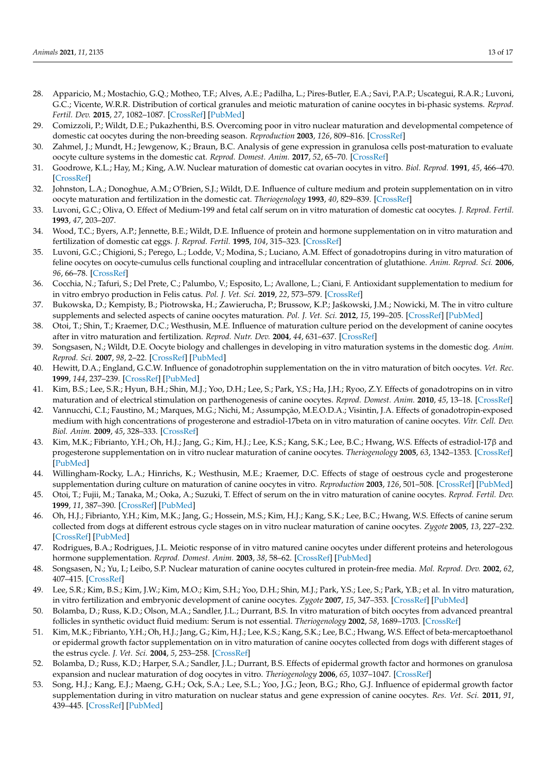- <span id="page-12-0"></span>28. Apparicio, M.; Mostachio, G.Q.; Motheo, T.F.; Alves, A.E.; Padilha, L.; Pires-Butler, E.A.; Savi, P.A.P.; Uscategui, R.A.R.; Luvoni, G.C.; Vicente, W.R.R. Distribution of cortical granules and meiotic maturation of canine oocytes in bi-phasic systems. *Reprod. Fertil. Dev.* **2015**, *27*, 1082–1087. [\[CrossRef\]](http://doi.org/10.1071/RD14022) [\[PubMed\]](http://www.ncbi.nlm.nih.gov/pubmed/24767547)
- <span id="page-12-1"></span>29. Comizzoli, P.; Wildt, D.E.; Pukazhenthi, B.S. Overcoming poor in vitro nuclear maturation and developmental competence of domestic cat oocytes during the non-breeding season. *Reproduction* **2003**, *126*, 809–816. [\[CrossRef\]](http://doi.org/10.1530/rep.0.1260809)
- <span id="page-12-2"></span>30. Zahmel, J.; Mundt, H.; Jewgenow, K.; Braun, B.C. Analysis of gene expression in granulosa cells post-maturation to evaluate oocyte culture systems in the domestic cat. *Reprod. Domest. Anim.* **2017**, *52*, 65–70. [\[CrossRef\]](http://doi.org/10.1111/rda.12927)
- <span id="page-12-3"></span>31. Goodrowe, K.L.; Hay, M.; King, A.W. Nuclear maturation of domestic cat ovarian oocytes in vitro. *Biol. Reprod.* **1991**, *45*, 466–470. [\[CrossRef\]](http://doi.org/10.1095/biolreprod45.3.466)
- 32. Johnston, L.A.; Donoghue, A.M.; O'Brien, S.J.; Wildt, D.E. Influence of culture medium and protein supplementation on in vitro oocyte maturation and fertilization in the domestic cat. *Theriogenology* **1993**, *40*, 829–839. [\[CrossRef\]](http://doi.org/10.1016/0093-691X(93)90218-T)
- 33. Luvoni, G.C.; Oliva, O. Effect of Medium-199 and fetal calf serum on in vitro maturation of domestic cat oocytes. *J. Reprod. Fertil.* **1993**, *47*, 203–207.
- <span id="page-12-4"></span>34. Wood, T.C.; Byers, A.P.; Jennette, B.E.; Wildt, D.E. Influence of protein and hormone supplementation on in vitro maturation and fertilization of domestic cat eggs. *J. Reprod. Fertil.* **1995**, *104*, 315–323. [\[CrossRef\]](http://doi.org/10.1530/jrf.0.1040315)
- <span id="page-12-5"></span>35. Luvoni, G.C.; Chigioni, S.; Perego, L.; Lodde, V.; Modina, S.; Luciano, A.M. Effect of gonadotropins during in vitro maturation of feline oocytes on oocyte-cumulus cells functional coupling and intracellular concentration of glutathione. *Anim. Reprod. Sci.* **2006**, *96*, 66–78. [\[CrossRef\]](http://doi.org/10.1016/j.anireprosci.2005.11.009)
- <span id="page-12-6"></span>36. Cocchia, N.; Tafuri, S.; Del Prete, C.; Palumbo, V.; Esposito, L.; Avallone, L.; Ciani, F. Antioxidant supplementation to medium for in vitro embryo production in Felis catus. *Pol. J. Vet. Sci.* **2019**, *22*, 573–579. [\[CrossRef\]](http://doi.org/10.24425/pjvs.2019.129966)
- <span id="page-12-7"></span>37. Bukowska, D.; Kempisty, B.; Piotrowska, H.; Zawierucha, P.; Brussow, K.P.; Jaśkowski, J.M.; Nowicki, M. The in vitro culture supplements and selected aspects of canine oocytes maturation. *Pol. J. Vet. Sci.* **2012**, *15*, 199–205. [\[CrossRef\]](http://doi.org/10.2478/v10181-011-0134-4) [\[PubMed\]](http://www.ncbi.nlm.nih.gov/pubmed/22708378)
- <span id="page-12-8"></span>38. Otoi, T.; Shin, T.; Kraemer, D.C.; Westhusin, M.E. Influence of maturation culture period on the development of canine oocytes after in vitro maturation and fertilization. *Reprod. Nutr. Dev.* **2004**, *44*, 631–637. [\[CrossRef\]](http://doi.org/10.1051/rnd:2004065)
- <span id="page-12-9"></span>39. Songsasen, N.; Wildt, D.E. Oocyte biology and challenges in developing in vitro maturation systems in the domestic dog. *Anim. Reprod. Sci.* **2007**, *98*, 2–22. [\[CrossRef\]](http://doi.org/10.1016/j.anireprosci.2006.10.004) [\[PubMed\]](http://www.ncbi.nlm.nih.gov/pubmed/17097840)
- <span id="page-12-10"></span>40. Hewitt, D.A.; England, G.C.W. Influence of gonadotrophin supplementation on the in vitro maturation of bitch oocytes. *Vet. Rec.* **1999**, *144*, 237–239. [\[CrossRef\]](http://doi.org/10.1136/vr.144.9.237) [\[PubMed\]](http://www.ncbi.nlm.nih.gov/pubmed/10189676)
- <span id="page-12-11"></span>41. Kim, B.S.; Lee, S.R.; Hyun, B.H.; Shin, M.J.; Yoo, D.H.; Lee, S.; Park, Y.S.; Ha, J.H.; Ryoo, Z.Y. Effects of gonadotropins on in vitro maturation and of electrical stimulation on parthenogenesis of canine oocytes. *Reprod. Domest. Anim.* **2010**, *45*, 13–18. [\[CrossRef\]](http://doi.org/10.1111/j.1439-0531.2008.01128.x)
- <span id="page-12-12"></span>42. Vannucchi, C.I.; Faustino, M.; Marques, M.G.; Nichi, M.; Assumpção, M.E.O.D.A.; Visintin, J.A. Effects of gonadotropin-exposed medium with high concentrations of progesterone and estradiol-17beta on in vitro maturation of canine oocytes. *Vitr. Cell. Dev. Biol. Anim.* **2009**, *45*, 328–333. [\[CrossRef\]](http://doi.org/10.1007/s11626-009-9185-6)
- 43. Kim, M.K.; Fibrianto, Y.H.; Oh, H.J.; Jang, G.; Kim, H.J.; Lee, K.S.; Kang, S.K.; Lee, B.C.; Hwang, W.S. Effects of estradiol-17β and progesterone supplementation on in vitro nuclear maturation of canine oocytes. *Theriogenology* **2005**, *63*, 1342–1353. [\[CrossRef\]](http://doi.org/10.1016/j.theriogenology.2004.07.019) [\[PubMed\]](http://www.ncbi.nlm.nih.gov/pubmed/15725442)
- <span id="page-12-13"></span>44. Willingham-Rocky, L.A.; Hinrichs, K.; Westhusin, M.E.; Kraemer, D.C. Effects of stage of oestrous cycle and progesterone supplementation during culture on maturation of canine oocytes in vitro. *Reproduction* **2003**, *126*, 501–508. [\[CrossRef\]](http://doi.org/10.1530/rep.0.1260501) [\[PubMed\]](http://www.ncbi.nlm.nih.gov/pubmed/14525532)
- <span id="page-12-14"></span>45. Otoi, T.; Fujii, M.; Tanaka, M.; Ooka, A.; Suzuki, T. Effect of serum on the in vitro maturation of canine oocytes. *Reprod. Fertil. Dev.* **1999**, *11*, 387–390. [\[CrossRef\]](http://doi.org/10.1071/RD00012) [\[PubMed\]](http://www.ncbi.nlm.nih.gov/pubmed/11101272)
- 46. Oh, H.J.; Fibrianto, Y.H.; Kim, M.K.; Jang, G.; Hossein, M.S.; Kim, H.J.; Kang, S.K.; Lee, B.C.; Hwang, W.S. Effects of canine serum collected from dogs at different estrous cycle stages on in vitro nuclear maturation of canine oocytes. *Zygote* **2005**, *13*, 227–232. [\[CrossRef\]](http://doi.org/10.1017/S0967199405003242) [\[PubMed\]](http://www.ncbi.nlm.nih.gov/pubmed/16261767)
- <span id="page-12-15"></span>47. Rodrigues, B.A.; Rodrigues, J.L. Meiotic response of in vitro matured canine oocytes under different proteins and heterologous hormone supplementation. *Reprod. Domest. Anim.* **2003**, *38*, 58–62. [\[CrossRef\]](http://doi.org/10.1046/j.1439-0531.2003.00404.x) [\[PubMed\]](http://www.ncbi.nlm.nih.gov/pubmed/12535331)
- <span id="page-12-16"></span>48. Songsasen, N.; Yu, I.; Leibo, S.P. Nuclear maturation of canine oocytes cultured in protein-free media. *Mol. Reprod. Dev.* **2002**, *62*, 407–415. [\[CrossRef\]](http://doi.org/10.1002/mrd.10130)
- 49. Lee, S.R.; Kim, B.S.; Kim, J.W.; Kim, M.O.; Kim, S.H.; Yoo, D.H.; Shin, M.J.; Park, Y.S.; Lee, S.; Park, Y.B.; et al. In vitro maturation, in vitro fertilization and embryonic development of canine oocytes. *Zygote* **2007**, *15*, 347–353. [\[CrossRef\]](http://doi.org/10.1017/S0967199407004352) [\[PubMed\]](http://www.ncbi.nlm.nih.gov/pubmed/17967214)
- <span id="page-12-17"></span>50. Bolamba, D.; Russ, K.D.; Olson, M.A.; Sandler, J.L.; Durrant, B.S. In vitro maturation of bitch oocytes from advanced preantral follicles in synthetic oviduct fluid medium: Serum is not essential. *Theriogenology* **2002**, *58*, 1689–1703. [\[CrossRef\]](http://doi.org/10.1016/S0093-691X(02)01080-4)
- <span id="page-12-18"></span>51. Kim, M.K.; Fibrianto, Y.H.; Oh, H.J.; Jang, G.; Kim, H.J.; Lee, K.S.; Kang, S.K.; Lee, B.C.; Hwang, W.S. Effect of beta-mercaptoethanol or epidermal growth factor supplementation on in vitro maturation of canine oocytes collected from dogs with different stages of the estrus cycle. *J. Vet. Sci.* **2004**, *5*, 253–258. [\[CrossRef\]](http://doi.org/10.4142/jvs.2004.5.3.253)
- <span id="page-12-20"></span>52. Bolamba, D.; Russ, K.D.; Harper, S.A.; Sandler, J.L.; Durrant, B.S. Effects of epidermal growth factor and hormones on granulosa expansion and nuclear maturation of dog oocytes in vitro. *Theriogenology* **2006**, *65*, 1037–1047. [\[CrossRef\]](http://doi.org/10.1016/j.theriogenology.2005.06.017)
- <span id="page-12-19"></span>53. Song, H.J.; Kang, E.J.; Maeng, G.H.; Ock, S.A.; Lee, S.L.; Yoo, J.G.; Jeon, B.G.; Rho, G.J. Influence of epidermal growth factor supplementation during in vitro maturation on nuclear status and gene expression of canine oocytes. *Res. Vet. Sci.* **2011**, *91*, 439–445. [\[CrossRef\]](http://doi.org/10.1016/j.rvsc.2010.09.003) [\[PubMed\]](http://www.ncbi.nlm.nih.gov/pubmed/20888022)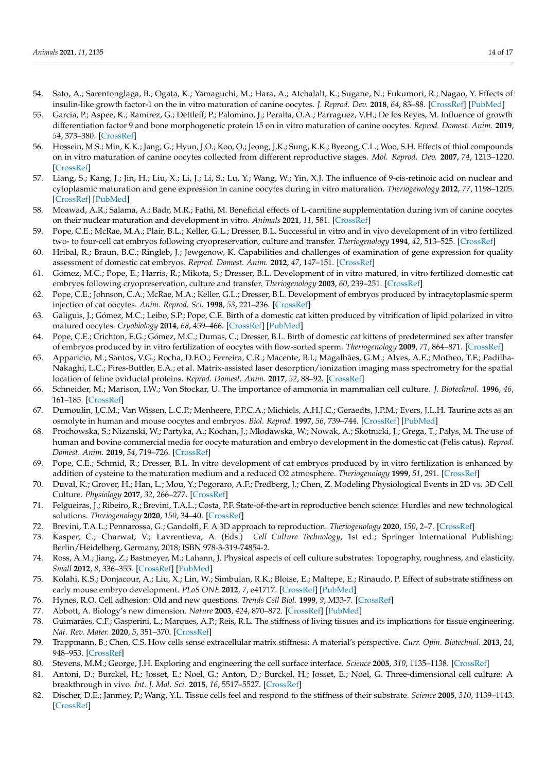- <span id="page-13-0"></span>54. Sato, A.; Sarentonglaga, B.; Ogata, K.; Yamaguchi, M.; Hara, A.; Atchalalt, K.; Sugane, N.; Fukumori, R.; Nagao, Y. Effects of insulin-like growth factor-1 on the in vitro maturation of canine oocytes. *J. Reprod. Dev.* **2018**, *64*, 83–88. [\[CrossRef\]](http://doi.org/10.1262/jrd.2017-145) [\[PubMed\]](http://www.ncbi.nlm.nih.gov/pubmed/29212962)
- <span id="page-13-1"></span>55. Garcia, P.; Aspee, K.; Ramirez, G.; Dettleff, P.; Palomino, J.; Peralta, O.A.; Parraguez, V.H.; De los Reyes, M. Influence of growth differentiation factor 9 and bone morphogenetic protein 15 on in vitro maturation of canine oocytes. *Reprod. Domest. Anim.* **2019**, *54*, 373–380. [\[CrossRef\]](http://doi.org/10.1111/rda.13371)
- <span id="page-13-2"></span>56. Hossein, M.S.; Min, K.K.; Jang, G.; Hyun, J.O.; Koo, O.; Jeong, J.K.; Sung, K.K.; Byeong, C.L.; Woo, S.H. Effects of thiol compounds on in vitro maturation of canine oocytes collected from different reproductive stages. *Mol. Reprod. Dev.* **2007**, *74*, 1213–1220. [\[CrossRef\]](http://doi.org/10.1002/mrd.20674)
- <span id="page-13-3"></span>57. Liang, S.; Kang, J.; Jin, H.; Liu, X.; Li, J.; Li, S.; Lu, Y.; Wang, W.; Yin, X.J. The influence of 9-cis-retinoic acid on nuclear and cytoplasmic maturation and gene expression in canine oocytes during in vitro maturation. *Theriogenology* **2012**, *77*, 1198–1205. [\[CrossRef\]](http://doi.org/10.1016/j.theriogenology.2011.10.027) [\[PubMed\]](http://www.ncbi.nlm.nih.gov/pubmed/22225683)
- <span id="page-13-4"></span>58. Moawad, A.R.; Salama, A.; Badr, M.R.; Fathi, M. Beneficial effects of L-carnitine supplementation during ivm of canine oocytes on their nuclear maturation and development in vitro. *Animals* **2021**, *11*, 581. [\[CrossRef\]](http://doi.org/10.3390/ani11020581)
- <span id="page-13-5"></span>59. Pope, C.E.; McRae, M.A.; Plair, B.L.; Keller, G.L.; Dresser, B.L. Successful in vitro and in vivo development of in vitro fertilized two- to four-cell cat embryos following cryopreservation, culture and transfer. *Theriogenology* **1994**, *42*, 513–525. [\[CrossRef\]](http://doi.org/10.1016/0093-691X(94)90689-G)
- <span id="page-13-6"></span>60. Hribal, R.; Braun, B.C.; Ringleb, J.; Jewgenow, K. Capabilities and challenges of examination of gene expression for quality assessment of domestic cat embryos. *Reprod. Domest. Anim.* **2012**, *47*, 147–151. [\[CrossRef\]](http://doi.org/10.1111/rda.12032)
- <span id="page-13-7"></span>61. Gómez, M.C.; Pope, E.; Harris, R.; Mikota, S.; Dresser, B.L. Development of in vitro matured, in vitro fertilized domestic cat embryos following cryopreservation, culture and transfer. *Theriogenology* **2003**, *60*, 239–251. [\[CrossRef\]](http://doi.org/10.1016/S0093-691X(03)00004-9)
- 62. Pope, C.E.; Johnson, C.A.; McRae, M.A.; Keller, G.L.; Dresser, B.L. Development of embryos produced by intracytoplasmic sperm injection of cat oocytes. *Anim. Reprod. Sci.* **1998**, *53*, 221–236. [\[CrossRef\]](http://doi.org/10.1016/S0378-4320(98)00115-8)
- 63. Galiguis, J.; Gómez, M.C.; Leibo, S.P.; Pope, C.E. Birth of a domestic cat kitten produced by vitrification of lipid polarized in vitro matured oocytes. *Cryobiology* **2014**, *68*, 459–466. [\[CrossRef\]](http://doi.org/10.1016/j.cryobiol.2014.02.012) [\[PubMed\]](http://www.ncbi.nlm.nih.gov/pubmed/24631204)
- <span id="page-13-8"></span>64. Pope, C.E.; Crichton, E.G.; Gómez, M.C.; Dumas, C.; Dresser, B.L. Birth of domestic cat kittens of predetermined sex after transfer of embryos produced by in vitro fertilization of oocytes with flow-sorted sperm. *Theriogenology* **2009**, *71*, 864–871. [\[CrossRef\]](http://doi.org/10.1016/j.theriogenology.2008.10.012)
- <span id="page-13-9"></span>65. Apparicio, M.; Santos, V.G.; Rocha, D.F.O.; Ferreira, C.R.; Macente, B.I.; Magalhães, G.M.; Alves, A.E.; Motheo, T.F.; Padilha-Nakaghi, L.C.; Pires-Buttler, E.A.; et al. Matrix-assisted laser desorption/ionization imaging mass spectrometry for the spatial location of feline oviductal proteins. *Reprod. Domest. Anim.* **2017**, *52*, 88–92. [\[CrossRef\]](http://doi.org/10.1111/rda.12842)
- <span id="page-13-10"></span>66. Schneider, M.; Marison, I.W.; Von Stockar, U. The importance of ammonia in mammalian cell culture. *J. Biotechnol.* **1996**, *46*, 161–185. [\[CrossRef\]](http://doi.org/10.1016/0168-1656(95)00196-4)
- <span id="page-13-11"></span>67. Dumoulin, J.C.M.; Van Wissen, L.C.P.; Menheere, P.P.C.A.; Michiels, A.H.J.C.; Geraedts, J.P.M.; Evers, J.L.H. Taurine acts as an osmolyte in human and mouse oocytes and embryos. *Biol. Reprod.* **1997**, *56*, 739–744. [\[CrossRef\]](http://doi.org/10.1095/biolreprod56.3.739) [\[PubMed\]](http://www.ncbi.nlm.nih.gov/pubmed/9047020)
- <span id="page-13-12"></span>68. Prochowska, S.; Nizanski, W.; Partyka, A.; Kochan, J.; Młodawska, W.; Nowak, A.; Skotnicki, J.; Grega, T.; Pałys, M. The use of human and bovine commercial media for oocyte maturation and embryo development in the domestic cat (Felis catus). *Reprod. Domest. Anim.* **2019**, *54*, 719–726. [\[CrossRef\]](http://doi.org/10.1111/rda.13418)
- <span id="page-13-13"></span>69. Pope, C.E.; Schmid, R.; Dresser, B.L. In vitro development of cat embryos produced by in vitro fertilization is enhanced by addition of cysteine to the maturation medium and a reduced O2 atmosphere. *Theriogenology* **1999**, *51*, 291. [\[CrossRef\]](http://doi.org/10.1016/S0093-691X(99)91850-2)
- <span id="page-13-14"></span>70. Duval, K.; Grover, H.; Han, L.; Mou, Y.; Pegoraro, A.F.; Fredberg, J.; Chen, Z. Modeling Physiological Events in 2D vs. 3D Cell Culture. *Physiology* **2017**, *32*, 266–277. [\[CrossRef\]](http://doi.org/10.1152/physiol.00036.2016)
- <span id="page-13-26"></span>71. Felgueiras, J.; Ribeiro, R.; Brevini, T.A.L.; Costa, P.F. State-of-the-art in reproductive bench science: Hurdles and new technological solutions. *Theriogenology* **2020**, *150*, 34–40. [\[CrossRef\]](http://doi.org/10.1016/j.theriogenology.2020.01.067)
- <span id="page-13-15"></span>72. Brevini, T.A.L.; Pennarossa, G.; Gandolfi, F. A 3D approach to reproduction. *Theriogenology* **2020**, *150*, 2–7. [\[CrossRef\]](http://doi.org/10.1016/j.theriogenology.2020.01.020)
- <span id="page-13-16"></span>73. Kasper, C.; Charwat, V.; Lavrentieva, A. (Eds.) *Cell Culture Technology*, 1st ed.; Springer International Publishing: Berlin/Heidelberg, Germany, 2018; ISBN 978-3-319-74854-2.
- <span id="page-13-17"></span>74. Ross, A.M.; Jiang, Z.; Bastmeyer, M.; Lahann, J. Physical aspects of cell culture substrates: Topography, roughness, and elasticity. *Small* **2012**, *8*, 336–355. [\[CrossRef\]](http://doi.org/10.1002/smll.201100934) [\[PubMed\]](http://www.ncbi.nlm.nih.gov/pubmed/22162324)
- <span id="page-13-18"></span>75. Kolahi, K.S.; Donjacour, A.; Liu, X.; Lin, W.; Simbulan, R.K.; Bloise, E.; Maltepe, E.; Rinaudo, P. Effect of substrate stiffness on early mouse embryo development. *PLoS ONE* **2012**, *7*, e41717. [\[CrossRef\]](http://doi.org/10.1371/journal.pone.0041717) [\[PubMed\]](http://www.ncbi.nlm.nih.gov/pubmed/22860009)
- <span id="page-13-19"></span>76. Hynes, R.O. Cell adhesion: Old and new questions. *Trends Cell Biol.* **1999**, *9*, M33-7. [\[CrossRef\]](http://doi.org/10.1016/S0962-8924(99)01667-0)
- <span id="page-13-20"></span>77. Abbott, A. Biology's new dimension. *Nature* **2003**, *424*, 870–872. [\[CrossRef\]](http://doi.org/10.1038/424870a) [\[PubMed\]](http://www.ncbi.nlm.nih.gov/pubmed/12931155)
- <span id="page-13-21"></span>78. Guimarães, C.F.; Gasperini, L.; Marques, A.P.; Reis, R.L. The stiffness of living tissues and its implications for tissue engineering. *Nat. Rev. Mater.* **2020**, *5*, 351–370. [\[CrossRef\]](http://doi.org/10.1038/s41578-019-0169-1)
- <span id="page-13-22"></span>79. Trappmann, B.; Chen, C.S. How cells sense extracellular matrix stiffness: A material's perspective. *Curr. Opin. Biotechnol.* **2013**, *24*, 948–953. [\[CrossRef\]](http://doi.org/10.1016/j.copbio.2013.03.020)
- <span id="page-13-23"></span>80. Stevens, M.M.; George, J.H. Exploring and engineering the cell surface interface. *Science* **2005**, *310*, 1135–1138. [\[CrossRef\]](http://doi.org/10.1126/science.1106587)
- <span id="page-13-24"></span>81. Antoni, D.; Burckel, H.; Josset, E.; Noel, G.; Anton, D.; Burckel, H.; Josset, E.; Noel, G. Three-dimensional cell culture: A breakthrough in vivo. *Int. J. Mol. Sci.* **2015**, *16*, 5517–5527. [\[CrossRef\]](http://doi.org/10.3390/ijms16035517)
- <span id="page-13-25"></span>82. Discher, D.E.; Janmey, P.; Wang, Y.L. Tissue cells feel and respond to the stiffness of their substrate. *Science* **2005**, *310*, 1139–1143. [\[CrossRef\]](http://doi.org/10.1126/science.1116995)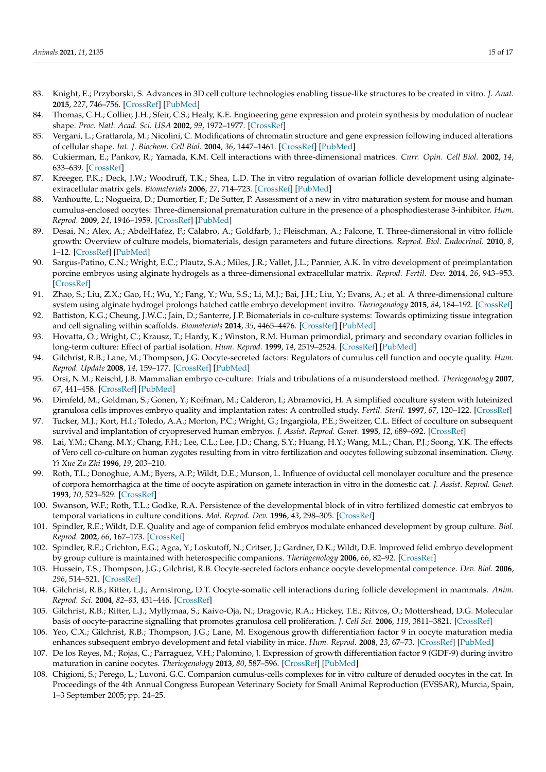- <span id="page-14-0"></span>83. Knight, E.; Przyborski, S. Advances in 3D cell culture technologies enabling tissue-like structures to be created in vitro. *J. Anat.* **2015**, *227*, 746–756. [\[CrossRef\]](http://doi.org/10.1111/joa.12257) [\[PubMed\]](http://www.ncbi.nlm.nih.gov/pubmed/25411113)
- <span id="page-14-1"></span>84. Thomas, C.H.; Collier, J.H.; Sfeir, C.S.; Healy, K.E. Engineering gene expression and protein synthesis by modulation of nuclear shape. *Proc. Natl. Acad. Sci. USA* **2002**, *99*, 1972–1977. [\[CrossRef\]](http://doi.org/10.1073/pnas.032668799)
- <span id="page-14-2"></span>85. Vergani, L.; Grattarola, M.; Nicolini, C. Modifications of chromatin structure and gene expression following induced alterations of cellular shape. *Int. J. Biochem. Cell Biol.* **2004**, *36*, 1447–1461. [\[CrossRef\]](http://doi.org/10.1016/j.biocel.2003.11.015) [\[PubMed\]](http://www.ncbi.nlm.nih.gov/pubmed/15147724)
- <span id="page-14-3"></span>86. Cukierman, E.; Pankov, R.; Yamada, K.M. Cell interactions with three-dimensional matrices. *Curr. Opin. Cell Biol.* **2002**, *14*, 633–639. [\[CrossRef\]](http://doi.org/10.1016/S0955-0674(02)00364-2)
- <span id="page-14-24"></span>87. Kreeger, P.K.; Deck, J.W.; Woodruff, T.K.; Shea, L.D. The in vitro regulation of ovarian follicle development using alginateextracellular matrix gels. *Biomaterials* **2006**, *27*, 714–723. [\[CrossRef\]](http://doi.org/10.1016/j.biomaterials.2005.06.016) [\[PubMed\]](http://www.ncbi.nlm.nih.gov/pubmed/16076485)
- 88. Vanhoutte, L.; Nogueira, D.; Dumortier, F.; De Sutter, P. Assessment of a new in vitro maturation system for mouse and human cumulus-enclosed oocytes: Three-dimensional prematuration culture in the presence of a phosphodiesterase 3-inhibitor. *Hum. Reprod.* **2009**, *24*, 1946–1959. [\[CrossRef\]](http://doi.org/10.1093/humrep/dep104) [\[PubMed\]](http://www.ncbi.nlm.nih.gov/pubmed/19395363)
- <span id="page-14-4"></span>89. Desai, N.; Alex, A.; AbdelHafez, F.; Calabro, A.; Goldfarb, J.; Fleischman, A.; Falcone, T. Three-dimensional in vitro follicle growth: Overview of culture models, biomaterials, design parameters and future directions. *Reprod. Biol. Endocrinol.* **2010**, *8*, 1–12. [\[CrossRef\]](http://doi.org/10.1186/1477-7827-8-119) [\[PubMed\]](http://www.ncbi.nlm.nih.gov/pubmed/20946661)
- <span id="page-14-5"></span>90. Sargus-Patino, C.N.; Wright, E.C.; Plautz, S.A.; Miles, J.R.; Vallet, J.L.; Pannier, A.K. In vitro development of preimplantation porcine embryos using alginate hydrogels as a three-dimensional extracellular matrix. *Reprod. Fertil. Dev.* **2014**, *26*, 943–953. [\[CrossRef\]](http://doi.org/10.1071/RD13008)
- <span id="page-14-6"></span>91. Zhao, S.; Liu, Z.X.; Gao, H.; Wu, Y.; Fang, Y.; Wu, S.S.; Li, M.J.; Bai, J.H.; Liu, Y.; Evans, A.; et al. A three-dimensional culture system using alginate hydrogel prolongs hatched cattle embryo development invitro. *Theriogenology* **2015**, *84*, 184–192. [\[CrossRef\]](http://doi.org/10.1016/j.theriogenology.2015.03.011)
- <span id="page-14-7"></span>92. Battiston, K.G.; Cheung, J.W.C.; Jain, D.; Santerre, J.P. Biomaterials in co-culture systems: Towards optimizing tissue integration and cell signaling within scaffolds. *Biomaterials* **2014**, *35*, 4465–4476. [\[CrossRef\]](http://doi.org/10.1016/j.biomaterials.2014.02.023) [\[PubMed\]](http://www.ncbi.nlm.nih.gov/pubmed/24602569)
- <span id="page-14-8"></span>93. Hovatta, O.; Wright, C.; Krausz, T.; Hardy, K.; Winston, R.M. Human primordial, primary and secondary ovarian follicles in long-term culture: Effect of partial isolation. *Hum. Reprod.* **1999**, *14*, 2519–2524. [\[CrossRef\]](http://doi.org/10.1093/humrep/14.10.2519) [\[PubMed\]](http://www.ncbi.nlm.nih.gov/pubmed/10527981)
- <span id="page-14-9"></span>94. Gilchrist, R.B.; Lane, M.; Thompson, J.G. Oocyte-secreted factors: Regulators of cumulus cell function and oocyte quality. *Hum. Reprod. Update* **2008**, *14*, 159–177. [\[CrossRef\]](http://doi.org/10.1093/humupd/dmm040) [\[PubMed\]](http://www.ncbi.nlm.nih.gov/pubmed/18175787)
- <span id="page-14-10"></span>95. Orsi, N.M.; Reischl, J.B. Mammalian embryo co-culture: Trials and tribulations of a misunderstood method. *Theriogenology* **2007**, *67*, 441–458. [\[CrossRef\]](http://doi.org/10.1016/j.theriogenology.2006.10.011) [\[PubMed\]](http://www.ncbi.nlm.nih.gov/pubmed/17118433)
- <span id="page-14-11"></span>96. Dirnfeld, M.; Goldman, S.; Gonen, Y.; Koifman, M.; Calderon, I.; Abramovici, H. A simplified coculture system with luteinized granulosa cells improves embryo quality and implantation rates: A controlled study. *Fertil. Steril.* **1997**, *67*, 120–122. [\[CrossRef\]](http://doi.org/10.1016/S0015-0282(97)81867-5)
- <span id="page-14-12"></span>97. Tucker, M.J.; Kort, H.I.; Toledo, A.A.; Morton, P.C.; Wright, G.; Ingargiola, P.E.; Sweitzer, C.L. Effect of coculture on subsequent survival and implantation of cryopreserved human embryos. *J. Assist. Reprod. Genet.* **1995**, *12*, 689–692. [\[CrossRef\]](http://doi.org/10.1007/BF02212894)
- <span id="page-14-13"></span>98. Lai, Y.M.; Chang, M.Y.; Chang, F.H.; Lee, C.L.; Lee, J.D.; Chang, S.Y.; Huang, H.Y.; Wang, M.L.; Chan, P.J.; Soong, Y.K. The effects of Vero cell co-culture on human zygotes resulting from in vitro fertilization and oocytes following subzonal insemination. *Chang. Yi Xue Za Zhi* **1996**, *19*, 203–210.
- <span id="page-14-14"></span>99. Roth, T.L.; Donoghue, A.M.; Byers, A.P.; Wildt, D.E.; Munson, L. Influence of oviductal cell monolayer coculture and the presence of corpora hemorrhagica at the time of oocyte aspiration on gamete interaction in vitro in the domestic cat. *J. Assist. Reprod. Genet.* **1993**, *10*, 523–529. [\[CrossRef\]](http://doi.org/10.1007/BF01204363)
- <span id="page-14-15"></span>100. Swanson, W.F.; Roth, T.L.; Godke, R.A. Persistence of the developmental block of in vitro fertilized domestic cat embryos to temporal variations in culture conditions. *Mol. Reprod. Dev.* **1996**, *43*, 298–305. [\[CrossRef\]](http://doi.org/10.1002/(SICI)1098-2795(199603)43:3<298::AID-MRD3>3.0.CO;2-L)
- <span id="page-14-16"></span>101. Spindler, R.E.; Wildt, D.E. Quality and age of companion felid embryos modulate enhanced development by group culture. *Biol. Reprod.* **2002**, *66*, 167–173. [\[CrossRef\]](http://doi.org/10.1095/biolreprod66.1.167)
- <span id="page-14-17"></span>102. Spindler, R.E.; Crichton, E.G.; Agca, Y.; Loskutoff, N.; Critser, J.; Gardner, D.K.; Wildt, D.E. Improved felid embryo development by group culture is maintained with heterospecific companions. *Theriogenology* **2006**, *66*, 82–92. [\[CrossRef\]](http://doi.org/10.1016/j.theriogenology.2006.03.021)
- <span id="page-14-18"></span>103. Hussein, T.S.; Thompson, J.G.; Gilchrist, R.B. Oocyte-secreted factors enhance oocyte developmental competence. *Dev. Biol.* **2006**, *296*, 514–521. [\[CrossRef\]](http://doi.org/10.1016/j.ydbio.2006.06.026)
- <span id="page-14-19"></span>104. Gilchrist, R.B.; Ritter, L.J.; Armstrong, D.T. Oocyte-somatic cell interactions during follicle development in mammals. *Anim. Reprod. Sci.* **2004**, *82–83*, 431–446. [\[CrossRef\]](http://doi.org/10.1016/j.anireprosci.2004.05.017)
- <span id="page-14-20"></span>105. Gilchrist, R.B.; Ritter, L.J.; Myllymaa, S.; Kaivo-Oja, N.; Dragovic, R.A.; Hickey, T.E.; Ritvos, O.; Mottershead, D.G. Molecular basis of oocyte-paracrine signalling that promotes granulosa cell proliferation. *J. Cell Sci.* **2006**, *119*, 3811–3821. [\[CrossRef\]](http://doi.org/10.1242/jcs.03105)
- <span id="page-14-21"></span>106. Yeo, C.X.; Gilchrist, R.B.; Thompson, J.G.; Lane, M. Exogenous growth differentiation factor 9 in oocyte maturation media enhances subsequent embryo development and fetal viability in mice. *Hum. Reprod.* **2008**, *23*, 67–73. [\[CrossRef\]](http://doi.org/10.1093/humrep/dem140) [\[PubMed\]](http://www.ncbi.nlm.nih.gov/pubmed/17933754)
- <span id="page-14-22"></span>107. De los Reyes, M.; Rojas, C.; Parraguez, V.H.; Palomino, J. Expression of growth differentiation factor 9 (GDF-9) during invitro maturation in canine oocytes. *Theriogenology* **2013**, *80*, 587–596. [\[CrossRef\]](http://doi.org/10.1016/j.theriogenology.2013.06.001) [\[PubMed\]](http://www.ncbi.nlm.nih.gov/pubmed/23849650)
- <span id="page-14-23"></span>108. Chigioni, S.; Perego, L.; Luvoni, G.C. Companion cumulus-cells complexes for in vitro culture of denuded oocytes in the cat. In Proceedings of the 4th Annual Congress European Veterinary Society for Small Animal Reproduction (EVSSAR), Murcia, Spain, 1–3 September 2005; pp. 24–25.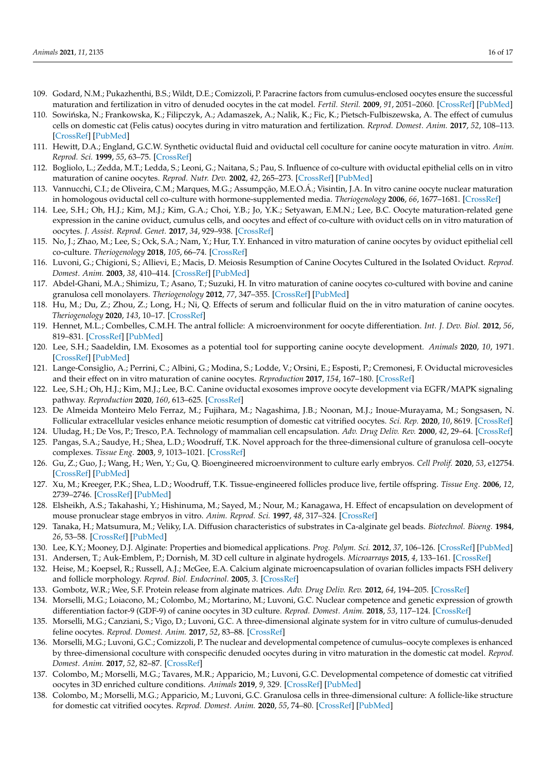- <span id="page-15-0"></span>109. Godard, N.M.; Pukazhenthi, B.S.; Wildt, D.E.; Comizzoli, P. Paracrine factors from cumulus-enclosed oocytes ensure the successful maturation and fertilization in vitro of denuded oocytes in the cat model. *Fertil. Steril.* **2009**, *91*, 2051–2060. [\[CrossRef\]](http://doi.org/10.1016/j.fertnstert.2008.05.069) [\[PubMed\]](http://www.ncbi.nlm.nih.gov/pubmed/18692794)
- <span id="page-15-1"></span>110. Sowińska, N.; Frankowska, K.; Filipczyk, A.; Adamaszek, A.; Nalik, K.; Fic, K.; Pietsch-Fulbiszewska, A. The effect of cumulus cells on domestic cat (Felis catus) oocytes during in vitro maturation and fertilization. *Reprod. Domest. Anim.* **2017**, *52*, 108–113. [\[CrossRef\]](http://doi.org/10.1111/rda.12895) [\[PubMed\]](http://www.ncbi.nlm.nih.gov/pubmed/27905152)
- <span id="page-15-2"></span>111. Hewitt, D.A.; England, G.C.W. Synthetic oviductal fluid and oviductal cell coculture for canine oocyte maturation in vitro. *Anim. Reprod. Sci.* **1999**, *55*, 63–75. [\[CrossRef\]](http://doi.org/10.1016/S0378-4320(98)00162-6)
- <span id="page-15-4"></span>112. Bogliolo, L.; Zedda, M.T.; Ledda, S.; Leoni, G.; Naitana, S.; Pau, S. Influence of co-culture with oviductal epithelial cells on in vitro maturation of canine oocytes. *Reprod. Nutr. Dev.* **2002**, *42*, 265–273. [\[CrossRef\]](http://doi.org/10.1051/rnd:2002024) [\[PubMed\]](http://www.ncbi.nlm.nih.gov/pubmed/12405454)
- 113. Vannucchi, C.I.; de Oliveira, C.M.; Marques, M.G.; Assumpção, M.E.O.Á.; Visintin, J.A. In vitro canine oocyte nuclear maturation in homologous oviductal cell co-culture with hormone-supplemented media. *Theriogenology* **2006**, *66*, 1677–1681. [\[CrossRef\]](http://doi.org/10.1016/j.theriogenology.2006.01.008)
- 114. Lee, S.H.; Oh, H.J.; Kim, M.J.; Kim, G.A.; Choi, Y.B.; Jo, Y.K.; Setyawan, E.M.N.; Lee, B.C. Oocyte maturation-related gene expression in the canine oviduct, cumulus cells, and oocytes and effect of co-culture with oviduct cells on in vitro maturation of oocytes. *J. Assist. Reprod. Genet.* **2017**, *34*, 929–938. [\[CrossRef\]](http://doi.org/10.1007/s10815-017-0910-x)
- <span id="page-15-3"></span>115. No, J.; Zhao, M.; Lee, S.; Ock, S.A.; Nam, Y.; Hur, T.Y. Enhanced in vitro maturation of canine oocytes by oviduct epithelial cell co-culture. *Theriogenology* **2018**, *105*, 66–74. [\[CrossRef\]](http://doi.org/10.1016/j.theriogenology.2017.09.002)
- <span id="page-15-5"></span>116. Luvoni, G.; Chigioni, S.; Allievi, E.; Macis, D. Meiosis Resumption of Canine Oocytes Cultured in the Isolated Oviduct. *Reprod. Domest. Anim.* **2003**, *38*, 410–414. [\[CrossRef\]](http://doi.org/10.1046/j.1439-0531.2003.00457.x) [\[PubMed\]](http://www.ncbi.nlm.nih.gov/pubmed/12950695)
- <span id="page-15-6"></span>117. Abdel-Ghani, M.A.; Shimizu, T.; Asano, T.; Suzuki, H. In vitro maturation of canine oocytes co-cultured with bovine and canine granulosa cell monolayers. *Theriogenology* **2012**, *77*, 347–355. [\[CrossRef\]](http://doi.org/10.1016/j.theriogenology.2011.08.007) [\[PubMed\]](http://www.ncbi.nlm.nih.gov/pubmed/21890186)
- <span id="page-15-7"></span>118. Hu, M.; Du, Z.; Zhou, Z.; Long, H.; Ni, Q. Effects of serum and follicular fluid on the in vitro maturation of canine oocytes. *Theriogenology* **2020**, *143*, 10–17. [\[CrossRef\]](http://doi.org/10.1016/j.theriogenology.2019.11.040)
- <span id="page-15-8"></span>119. Hennet, M.L.; Combelles, C.M.H. The antral follicle: A microenvironment for oocyte differentiation. *Int. J. Dev. Biol.* **2012**, *56*, 819–831. [\[CrossRef\]](http://doi.org/10.1387/ijdb.120133cc) [\[PubMed\]](http://www.ncbi.nlm.nih.gov/pubmed/23417404)
- <span id="page-15-9"></span>120. Lee, S.H.; Saadeldin, I.M. Exosomes as a potential tool for supporting canine oocyte development. *Animals* **2020**, *10*, 1971. [\[CrossRef\]](http://doi.org/10.3390/ani10111971) [\[PubMed\]](http://www.ncbi.nlm.nih.gov/pubmed/33121043)
- <span id="page-15-10"></span>121. Lange-Consiglio, A.; Perrini, C.; Albini, G.; Modina, S.; Lodde, V.; Orsini, E.; Esposti, P.; Cremonesi, F. Oviductal microvesicles and their effect on in vitro maturation of canine oocytes. *Reproduction* **2017**, *154*, 167–180. [\[CrossRef\]](http://doi.org/10.1530/REP-17-0117)
- <span id="page-15-11"></span>122. Lee, S.H.; Oh, H.J.; Kim, M.J.; Lee, B.C. Canine oviductal exosomes improve oocyte development via EGFR/MAPK signaling pathway. *Reproduction* **2020**, *160*, 613–625. [\[CrossRef\]](http://doi.org/10.1530/REP-19-0600)
- <span id="page-15-12"></span>123. De Almeida Monteiro Melo Ferraz, M.; Fujihara, M.; Nagashima, J.B.; Noonan, M.J.; Inoue-Murayama, M.; Songsasen, N. Follicular extracellular vesicles enhance meiotic resumption of domestic cat vitrified oocytes. *Sci. Rep.* **2020**, *10*, 8619. [\[CrossRef\]](http://doi.org/10.1038/s41598-020-65497-w)
- <span id="page-15-13"></span>124. Uludag, H.; De Vos, P.; Tresco, P.A. Technology of mammalian cell encapsulation. *Adv. Drug Deliv. Rev.* **2000**, *42*, 29–64. [\[CrossRef\]](http://doi.org/10.1016/S0169-409X(00)00053-3)
- <span id="page-15-14"></span>125. Pangas, S.A.; Saudye, H.; Shea, L.D.; Woodruff, T.K. Novel approach for the three-dimensional culture of granulosa cell–oocyte complexes. *Tissue Eng.* **2003**, *9*, 1013–1021. [\[CrossRef\]](http://doi.org/10.1089/107632703322495655)
- <span id="page-15-15"></span>126. Gu, Z.; Guo, J.; Wang, H.; Wen, Y.; Gu, Q. Bioengineered microenvironment to culture early embryos. *Cell Prolif.* **2020**, *53*, e12754. [\[CrossRef\]](http://doi.org/10.1111/cpr.12754) [\[PubMed\]](http://www.ncbi.nlm.nih.gov/pubmed/31916359)
- <span id="page-15-16"></span>127. Xu, M.; Kreeger, P.K.; Shea, L.D.; Woodruff, T.K. Tissue-engineered follicles produce live, fertile offspring. *Tissue Eng.* **2006**, *12*, 2739–2746. [\[CrossRef\]](http://doi.org/10.1089/ten.2006.12.2739) [\[PubMed\]](http://www.ncbi.nlm.nih.gov/pubmed/17518643)
- <span id="page-15-17"></span>128. Elsheikh, A.S.; Takahashi, Y.; Hishinuma, M.; Sayed, M.; Nour, M.; Kanagawa, H. Effect of encapsulation on development of mouse pronuclear stage embryos in vitro. *Anim. Reprod. Sci.* **1997**, *48*, 317–324. [\[CrossRef\]](http://doi.org/10.1016/S0378-4320(97)00048-1)
- <span id="page-15-18"></span>129. Tanaka, H.; Matsumura, M.; Veliky, I.A. Diffusion characteristics of substrates in Ca-alginate gel beads. *Biotechnol. Bioeng.* **1984**, *26*, 53–58. [\[CrossRef\]](http://doi.org/10.1002/bit.260260111) [\[PubMed\]](http://www.ncbi.nlm.nih.gov/pubmed/18551586)
- 130. Lee, K.Y.; Mooney, D.J. Alginate: Properties and biomedical applications. *Prog. Polym. Sci.* **2012**, *37*, 106–126. [\[CrossRef\]](http://doi.org/10.1016/j.progpolymsci.2011.06.003) [\[PubMed\]](http://www.ncbi.nlm.nih.gov/pubmed/22125349)
- 131. Andersen, T.; Auk-Emblem, P.; Dornish, M. 3D cell culture in alginate hydrogels. *Microarrays* **2015**, *4*, 133–161. [\[CrossRef\]](http://doi.org/10.3390/microarrays4020133)
- 132. Heise, M.; Koepsel, R.; Russell, A.J.; McGee, E.A. Calcium alginate microencapsulation of ovarian follicles impacts FSH delivery and follicle morphology. *Reprod. Biol. Endocrinol.* **2005**, *3*. [\[CrossRef\]](http://doi.org/10.1186/1477-7827-3-47)
- <span id="page-15-19"></span>133. Gombotz, W.R.; Wee, S.F. Protein release from alginate matrices. *Adv. Drug Deliv. Rev.* **2012**, *64*, 194–205. [\[CrossRef\]](http://doi.org/10.1016/j.addr.2012.09.007)
- <span id="page-15-20"></span>134. Morselli, M.G.; Loiacono, M.; Colombo, M.; Mortarino, M.; Luvoni, G.C. Nuclear competence and genetic expression of growth differentiation factor-9 (GDF-9) of canine oocytes in 3D culture. *Reprod. Domest. Anim.* **2018**, *53*, 117–124. [\[CrossRef\]](http://doi.org/10.1111/rda.13336)
- <span id="page-15-21"></span>135. Morselli, M.G.; Canziani, S.; Vigo, D.; Luvoni, G.C. A three-dimensional alginate system for in vitro culture of cumulus-denuded feline oocytes. *Reprod. Domest. Anim.* **2017**, *52*, 83–88. [\[CrossRef\]](http://doi.org/10.1111/rda.12806)
- <span id="page-15-22"></span>136. Morselli, M.G.; Luvoni, G.C.; Comizzoli, P. The nuclear and developmental competence of cumulus–oocyte complexes is enhanced by three-dimensional coculture with conspecific denuded oocytes during in vitro maturation in the domestic cat model. *Reprod. Domest. Anim.* **2017**, *52*, 82–87. [\[CrossRef\]](http://doi.org/10.1111/rda.12850)
- <span id="page-15-23"></span>137. Colombo, M.; Morselli, M.G.; Tavares, M.R.; Apparicio, M.; Luvoni, G.C. Developmental competence of domestic cat vitrified oocytes in 3D enriched culture conditions. *Animals* **2019**, *9*, 329. [\[CrossRef\]](http://doi.org/10.3390/ani9060329) [\[PubMed\]](http://www.ncbi.nlm.nih.gov/pubmed/31181674)
- <span id="page-15-24"></span>138. Colombo, M.; Morselli, M.G.; Apparicio, M.; Luvoni, G.C. Granulosa cells in three-dimensional culture: A follicle-like structure for domestic cat vitrified oocytes. *Reprod. Domest. Anim.* **2020**, *55*, 74–80. [\[CrossRef\]](http://doi.org/10.1111/rda.13597) [\[PubMed\]](http://www.ncbi.nlm.nih.gov/pubmed/31913547)